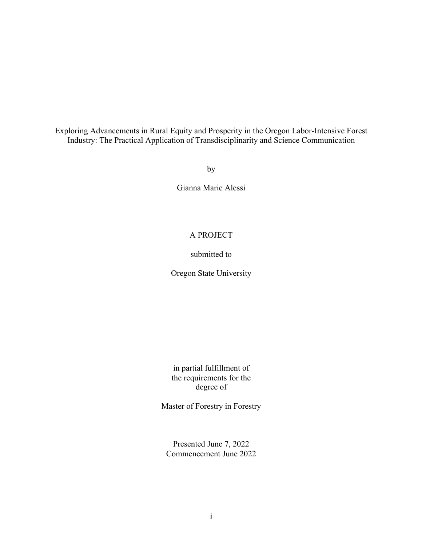Exploring Advancements in Rural Equity and Prosperity in the Oregon Labor-Intensive Forest Industry: The Practical Application of Transdisciplinarity and Science Communication

by

Gianna Marie Alessi

# A PROJECT

# submitted to

Oregon State University

in partial fulfillment of the requirements for the degree of

Master of Forestry in Forestry

Presented June 7, 2022 Commencement June 2022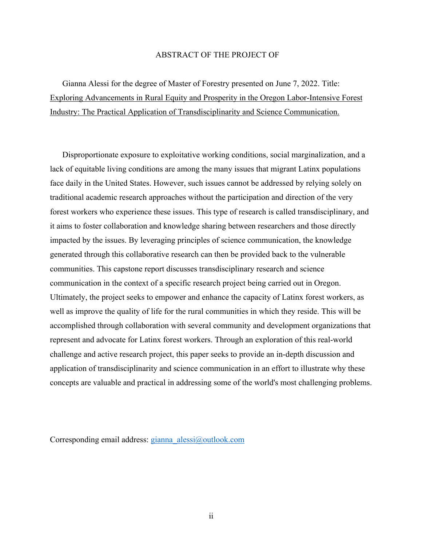## ABSTRACT OF THE PROJECT OF

Gianna Alessi for the degree of Master of Forestry presented on June 7, 2022. Title: Exploring Advancements in Rural Equity and Prosperity in the Oregon Labor-Intensive Forest Industry: The Practical Application of Transdisciplinarity and Science Communication.

Disproportionate exposure to exploitative working conditions, social marginalization, and a lack of equitable living conditions are among the many issues that migrant Latinx populations face daily in the United States. However, such issues cannot be addressed by relying solely on traditional academic research approaches without the participation and direction of the very forest workers who experience these issues. This type of research is called transdisciplinary, and it aims to foster collaboration and knowledge sharing between researchers and those directly impacted by the issues. By leveraging principles of science communication, the knowledge generated through this collaborative research can then be provided back to the vulnerable communities. This capstone report discusses transdisciplinary research and science communication in the context of a specific research project being carried out in Oregon. Ultimately, the project seeks to empower and enhance the capacity of Latinx forest workers, as well as improve the quality of life for the rural communities in which they reside. This will be accomplished through collaboration with several community and development organizations that represent and advocate for Latinx forest workers. Through an exploration of this real-world challenge and active research project, this paper seeks to provide an in-depth discussion and application of transdisciplinarity and science communication in an effort to illustrate why these concepts are valuable and practical in addressing some of the world's most challenging problems.

Corresponding email address: gianna\_alessi@outlook.com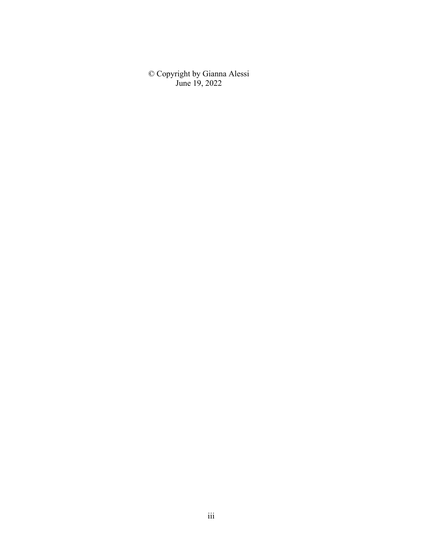© Copyright by Gianna Alessi June 19, 2022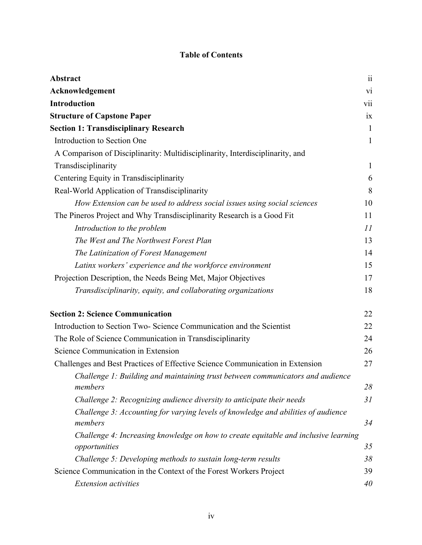# **Table of Contents**

| <b>Abstract</b>                                                                              | $\ddot{\mathbf{i}}$ |
|----------------------------------------------------------------------------------------------|---------------------|
| Acknowledgement                                                                              | vi                  |
| <b>Introduction</b>                                                                          | vii                 |
| <b>Structure of Capstone Paper</b>                                                           | ix                  |
| <b>Section 1: Transdisciplinary Research</b>                                                 | $\mathbf{1}$        |
| Introduction to Section One                                                                  | $\mathbf{1}$        |
| A Comparison of Disciplinarity: Multidisciplinarity, Interdisciplinarity, and                |                     |
| Transdisciplinarity                                                                          | $\mathbf{1}$        |
| Centering Equity in Transdisciplinarity                                                      | 6                   |
| Real-World Application of Transdisciplinarity                                                | 8                   |
| How Extension can be used to address social issues using social sciences                     | 10                  |
| The Pineros Project and Why Transdisciplinarity Research is a Good Fit                       | 11                  |
| Introduction to the problem                                                                  | 11                  |
| The West and The Northwest Forest Plan                                                       | 13                  |
| The Latinization of Forest Management                                                        | 14                  |
| Latinx workers' experience and the workforce environment                                     | 15                  |
| Projection Description, the Needs Being Met, Major Objectives                                | 17                  |
| Transdisciplinarity, equity, and collaborating organizations                                 | 18                  |
| <b>Section 2: Science Communication</b>                                                      | 22                  |
| Introduction to Section Two-Science Communication and the Scientist                          | 22                  |
| The Role of Science Communication in Transdisciplinarity                                     | 24                  |
| Science Communication in Extension                                                           | 26                  |
| Challenges and Best Practices of Effective Science Communication in Extension                | 27                  |
| Challenge 1: Building and maintaining trust between communicators and audience               |                     |
| members                                                                                      | 28                  |
| Challenge 2: Recognizing audience diversity to anticipate their needs                        | 31                  |
| Challenge 3: Accounting for varying levels of knowledge and abilities of audience<br>members | 34                  |
| Challenge 4: Increasing knowledge on how to create equitable and inclusive learning          |                     |
| opportunities                                                                                | 35                  |
| Challenge 5: Developing methods to sustain long-term results                                 | 38                  |
| Science Communication in the Context of the Forest Workers Project                           | 39                  |
| <b>Extension</b> activities                                                                  | 40                  |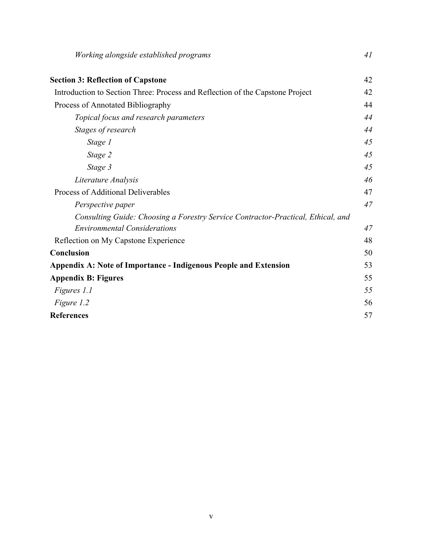| Working alongside established programs                                                                                  | 41 |
|-------------------------------------------------------------------------------------------------------------------------|----|
| <b>Section 3: Reflection of Capstone</b>                                                                                | 42 |
| Introduction to Section Three: Process and Reflection of the Capstone Project                                           | 42 |
| Process of Annotated Bibliography                                                                                       | 44 |
| Topical focus and research parameters                                                                                   | 44 |
| Stages of research                                                                                                      | 44 |
| Stage 1                                                                                                                 | 45 |
| Stage 2                                                                                                                 | 45 |
| Stage 3                                                                                                                 | 45 |
| Literature Analysis                                                                                                     | 46 |
| Process of Additional Deliverables                                                                                      | 47 |
| Perspective paper                                                                                                       | 47 |
| Consulting Guide: Choosing a Forestry Service Contractor-Practical, Ethical, and<br><b>Environmental Considerations</b> | 47 |
| Reflection on My Capstone Experience                                                                                    | 48 |
| Conclusion                                                                                                              | 50 |
| <b>Appendix A: Note of Importance - Indigenous People and Extension</b>                                                 | 53 |
| <b>Appendix B: Figures</b>                                                                                              | 55 |
| Figures 1.1                                                                                                             | 55 |
| Figure 1.2                                                                                                              | 56 |
| <b>References</b>                                                                                                       | 57 |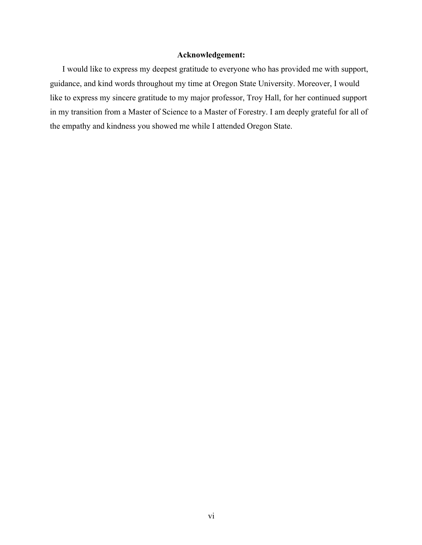# **Acknowledgement:**

I would like to express my deepest gratitude to everyone who has provided me with support, guidance, and kind words throughout my time at Oregon State University. Moreover, I would like to express my sincere gratitude to my major professor, Troy Hall, for her continued support in my transition from a Master of Science to a Master of Forestry. I am deeply grateful for all of the empathy and kindness you showed me while I attended Oregon State.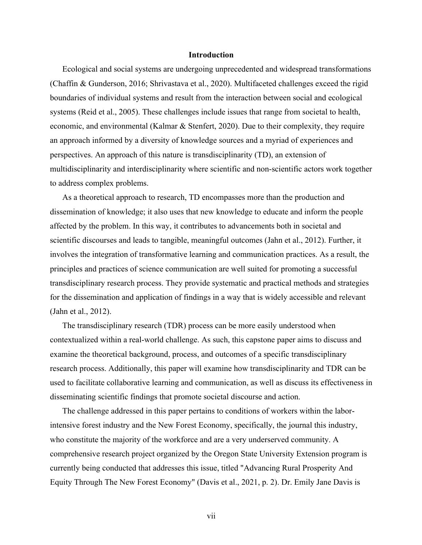### **Introduction**

Ecological and social systems are undergoing unprecedented and widespread transformations (Chaffin & Gunderson, 2016; Shrivastava et al., 2020). Multifaceted challenges exceed the rigid boundaries of individual systems and result from the interaction between social and ecological systems (Reid et al., 2005). These challenges include issues that range from societal to health, economic, and environmental (Kalmar & Stenfert, 2020). Due to their complexity, they require an approach informed by a diversity of knowledge sources and a myriad of experiences and perspectives. An approach of this nature is transdisciplinarity (TD), an extension of multidisciplinarity and interdisciplinarity where scientific and non-scientific actors work together to address complex problems.

As a theoretical approach to research, TD encompasses more than the production and dissemination of knowledge; it also uses that new knowledge to educate and inform the people affected by the problem. In this way, it contributes to advancements both in societal and scientific discourses and leads to tangible, meaningful outcomes (Jahn et al., 2012). Further, it involves the integration of transformative learning and communication practices. As a result, the principles and practices of science communication are well suited for promoting a successful transdisciplinary research process. They provide systematic and practical methods and strategies for the dissemination and application of findings in a way that is widely accessible and relevant (Jahn et al., 2012).

The transdisciplinary research (TDR) process can be more easily understood when contextualized within a real-world challenge. As such, this capstone paper aims to discuss and examine the theoretical background, process, and outcomes of a specific transdisciplinary research process. Additionally, this paper will examine how transdisciplinarity and TDR can be used to facilitate collaborative learning and communication, as well as discuss its effectiveness in disseminating scientific findings that promote societal discourse and action.

The challenge addressed in this paper pertains to conditions of workers within the laborintensive forest industry and the New Forest Economy, specifically, the journal this industry, who constitute the majority of the workforce and are a very underserved community. A comprehensive research project organized by the Oregon State University Extension program is currently being conducted that addresses this issue, titled "Advancing Rural Prosperity And Equity Through The New Forest Economy" (Davis et al., 2021, p. 2). Dr. Emily Jane Davis is

vii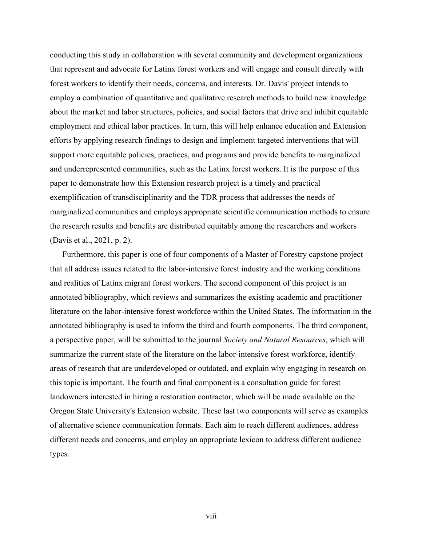conducting this study in collaboration with several community and development organizations that represent and advocate for Latinx forest workers and will engage and consult directly with forest workers to identify their needs, concerns, and interests. Dr. Davis' project intends to employ a combination of quantitative and qualitative research methods to build new knowledge about the market and labor structures, policies, and social factors that drive and inhibit equitable employment and ethical labor practices. In turn, this will help enhance education and Extension efforts by applying research findings to design and implement targeted interventions that will support more equitable policies, practices, and programs and provide benefits to marginalized and underrepresented communities, such as the Latinx forest workers. It is the purpose of this paper to demonstrate how this Extension research project is a timely and practical exemplification of transdisciplinarity and the TDR process that addresses the needs of marginalized communities and employs appropriate scientific communication methods to ensure the research results and benefits are distributed equitably among the researchers and workers (Davis et al., 2021, p. 2).

Furthermore, this paper is one of four components of a Master of Forestry capstone project that all address issues related to the labor-intensive forest industry and the working conditions and realities of Latinx migrant forest workers. The second component of this project is an annotated bibliography, which reviews and summarizes the existing academic and practitioner literature on the labor-intensive forest workforce within the United States. The information in the annotated bibliography is used to inform the third and fourth components. The third component, a perspective paper, will be submitted to the journal *Society and Natural Resources*, which will summarize the current state of the literature on the labor-intensive forest workforce, identify areas of research that are underdeveloped or outdated, and explain why engaging in research on this topic is important. The fourth and final component is a consultation guide for forest landowners interested in hiring a restoration contractor, which will be made available on the Oregon State University's Extension website. These last two components will serve as examples of alternative science communication formats. Each aim to reach different audiences, address different needs and concerns, and employ an appropriate lexicon to address different audience types.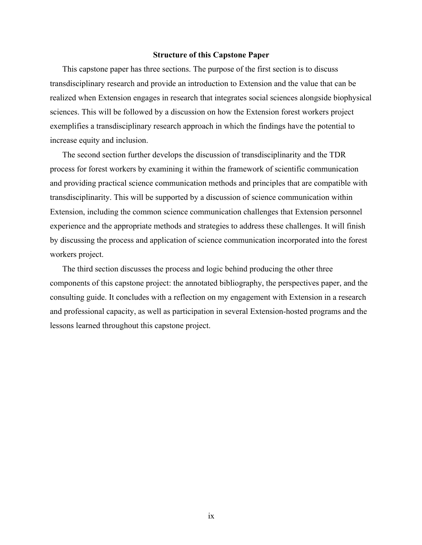### **Structure of this Capstone Paper**

This capstone paper has three sections. The purpose of the first section is to discuss transdisciplinary research and provide an introduction to Extension and the value that can be realized when Extension engages in research that integrates social sciences alongside biophysical sciences. This will be followed by a discussion on how the Extension forest workers project exemplifies a transdisciplinary research approach in which the findings have the potential to increase equity and inclusion.

The second section further develops the discussion of transdisciplinarity and the TDR process for forest workers by examining it within the framework of scientific communication and providing practical science communication methods and principles that are compatible with transdisciplinarity. This will be supported by a discussion of science communication within Extension, including the common science communication challenges that Extension personnel experience and the appropriate methods and strategies to address these challenges. It will finish by discussing the process and application of science communication incorporated into the forest workers project.

The third section discusses the process and logic behind producing the other three components of this capstone project: the annotated bibliography, the perspectives paper, and the consulting guide. It concludes with a reflection on my engagement with Extension in a research and professional capacity, as well as participation in several Extension-hosted programs and the lessons learned throughout this capstone project.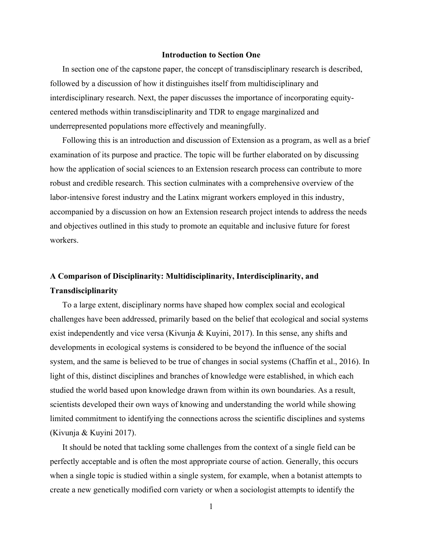### **Introduction to Section One**

In section one of the capstone paper, the concept of transdisciplinary research is described, followed by a discussion of how it distinguishes itself from multidisciplinary and interdisciplinary research. Next, the paper discusses the importance of incorporating equitycentered methods within transdisciplinarity and TDR to engage marginalized and underrepresented populations more effectively and meaningfully.

Following this is an introduction and discussion of Extension as a program, as well as a brief examination of its purpose and practice. The topic will be further elaborated on by discussing how the application of social sciences to an Extension research process can contribute to more robust and credible research. This section culminates with a comprehensive overview of the labor-intensive forest industry and the Latinx migrant workers employed in this industry, accompanied by a discussion on how an Extension research project intends to address the needs and objectives outlined in this study to promote an equitable and inclusive future for forest workers.

# **A Comparison of Disciplinarity: Multidisciplinarity, Interdisciplinarity, and Transdisciplinarity**

To a large extent, disciplinary norms have shaped how complex social and ecological challenges have been addressed, primarily based on the belief that ecological and social systems exist independently and vice versa (Kivunja & Kuyini, 2017). In this sense, any shifts and developments in ecological systems is considered to be beyond the influence of the social system, and the same is believed to be true of changes in social systems (Chaffin et al., 2016). In light of this, distinct disciplines and branches of knowledge were established, in which each studied the world based upon knowledge drawn from within its own boundaries. As a result, scientists developed their own ways of knowing and understanding the world while showing limited commitment to identifying the connections across the scientific disciplines and systems (Kivunja & Kuyini 2017).

It should be noted that tackling some challenges from the context of a single field can be perfectly acceptable and is often the most appropriate course of action. Generally, this occurs when a single topic is studied within a single system, for example, when a botanist attempts to create a new genetically modified corn variety or when a sociologist attempts to identify the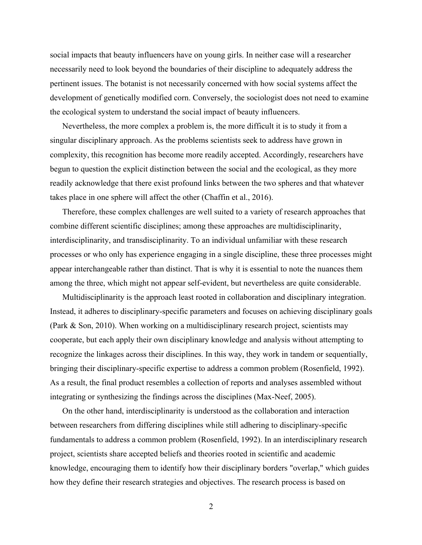social impacts that beauty influencers have on young girls. In neither case will a researcher necessarily need to look beyond the boundaries of their discipline to adequately address the pertinent issues. The botanist is not necessarily concerned with how social systems affect the development of genetically modified corn. Conversely, the sociologist does not need to examine the ecological system to understand the social impact of beauty influencers.

Nevertheless, the more complex a problem is, the more difficult it is to study it from a singular disciplinary approach. As the problems scientists seek to address have grown in complexity, this recognition has become more readily accepted. Accordingly, researchers have begun to question the explicit distinction between the social and the ecological, as they more readily acknowledge that there exist profound links between the two spheres and that whatever takes place in one sphere will affect the other (Chaffin et al., 2016).

Therefore, these complex challenges are well suited to a variety of research approaches that combine different scientific disciplines; among these approaches are multidisciplinarity, interdisciplinarity, and transdisciplinarity. To an individual unfamiliar with these research processes or who only has experience engaging in a single discipline, these three processes might appear interchangeable rather than distinct. That is why it is essential to note the nuances them among the three, which might not appear self-evident, but nevertheless are quite considerable.

Multidisciplinarity is the approach least rooted in collaboration and disciplinary integration. Instead, it adheres to disciplinary-specific parameters and focuses on achieving disciplinary goals (Park & Son, 2010). When working on a multidisciplinary research project, scientists may cooperate, but each apply their own disciplinary knowledge and analysis without attempting to recognize the linkages across their disciplines. In this way, they work in tandem or sequentially, bringing their disciplinary-specific expertise to address a common problem (Rosenfield, 1992). As a result, the final product resembles a collection of reports and analyses assembled without integrating or synthesizing the findings across the disciplines (Max-Neef, 2005).

On the other hand, interdisciplinarity is understood as the collaboration and interaction between researchers from differing disciplines while still adhering to disciplinary-specific fundamentals to address a common problem (Rosenfield, 1992). In an interdisciplinary research project, scientists share accepted beliefs and theories rooted in scientific and academic knowledge, encouraging them to identify how their disciplinary borders "overlap," which guides how they define their research strategies and objectives. The research process is based on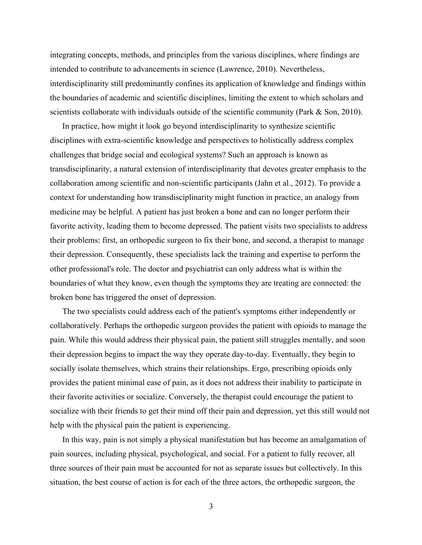integrating concepts, methods, and principles from the various disciplines, where findings are intended to contribute to advancements in science (Lawrence, 2010). Nevertheless, interdisciplinarity still predominantly confines its application of knowledge and findings within the boundaries of academic and scientific disciplines, limiting the extent to which scholars and scientists collaborate with individuals outside of the scientific community (Park & Son, 2010).

In practice, how might it look go beyond interdisciplinarity to synthesize scientific disciplines with extra-scientific knowledge and perspectives to holistically address complex challenges that bridge social and ecological systems? Such an approach is known as transdisciplinarity, a natural extension of interdisciplinarity that devotes greater emphasis to the collaboration among scientific and non-scientific participants (Jahn et al., 2012). To provide a context for understanding how transdisciplinarity might function in practice, an analogy from medicine may be helpful. A patient has just broken a bone and can no longer perform their favorite activity, leading them to become depressed. The patient visits two specialists to address their problems: first, an orthopedic surgeon to fix their bone, and second, a therapist to manage their depression. Consequently, these specialists lack the training and expertise to perform the other professional's role. The doctor and psychiatrist can only address what is within the boundaries of what they know, even though the symptoms they are treating are connected: the broken bone has triggered the onset of depression.

The two specialists could address each of the patient's symptoms either independently or collaboratively. Perhaps the orthopedic surgeon provides the patient with opioids to manage the pain. While this would address their physical pain, the patient still struggles mentally, and soon their depression begins to impact the way they operate day-to-day. Eventually, they begin to socially isolate themselves, which strains their relationships. Ergo, prescribing opioids only provides the patient minimal ease of pain, as it does not address their inability to participate in their favorite activities or socialize. Conversely, the therapist could encourage the patient to socialize with their friends to get their mind off their pain and depression, yet this still would not help with the physical pain the patient is experiencing.

In this way, pain is not simply a physical manifestation but has become an amalgamation of pain sources, including physical, psychological, and social. For a patient to fully recover, all three sources of their pain must be accounted for not as separate issues but collectively. In this situation, the best course of action is for each of the three actors, the orthopedic surgeon, the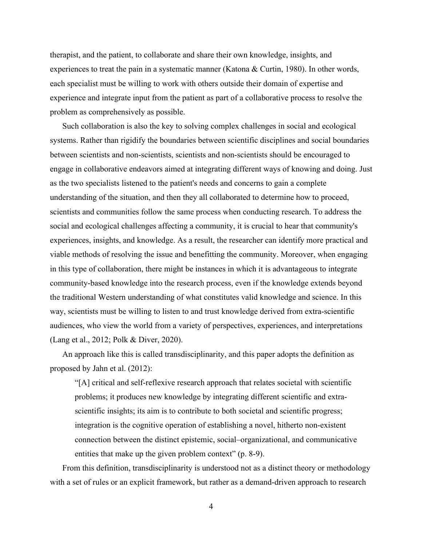therapist, and the patient, to collaborate and share their own knowledge, insights, and experiences to treat the pain in a systematic manner (Katona & Curtin, 1980). In other words, each specialist must be willing to work with others outside their domain of expertise and experience and integrate input from the patient as part of a collaborative process to resolve the problem as comprehensively as possible.

Such collaboration is also the key to solving complex challenges in social and ecological systems. Rather than rigidify the boundaries between scientific disciplines and social boundaries between scientists and non-scientists, scientists and non-scientists should be encouraged to engage in collaborative endeavors aimed at integrating different ways of knowing and doing. Just as the two specialists listened to the patient's needs and concerns to gain a complete understanding of the situation, and then they all collaborated to determine how to proceed, scientists and communities follow the same process when conducting research. To address the social and ecological challenges affecting a community, it is crucial to hear that community's experiences, insights, and knowledge. As a result, the researcher can identify more practical and viable methods of resolving the issue and benefitting the community. Moreover, when engaging in this type of collaboration, there might be instances in which it is advantageous to integrate community-based knowledge into the research process, even if the knowledge extends beyond the traditional Western understanding of what constitutes valid knowledge and science. In this way, scientists must be willing to listen to and trust knowledge derived from extra-scientific audiences, who view the world from a variety of perspectives, experiences, and interpretations (Lang et al., 2012; Polk & Diver, 2020).

An approach like this is called transdisciplinarity, and this paper adopts the definition as proposed by Jahn et al. (2012):

"[A] critical and self-reflexive research approach that relates societal with scientific problems; it produces new knowledge by integrating different scientific and extrascientific insights; its aim is to contribute to both societal and scientific progress; integration is the cognitive operation of establishing a novel, hitherto non-existent connection between the distinct epistemic, social–organizational, and communicative entities that make up the given problem context" (p. 8-9).

From this definition, transdisciplinarity is understood not as a distinct theory or methodology with a set of rules or an explicit framework, but rather as a demand-driven approach to research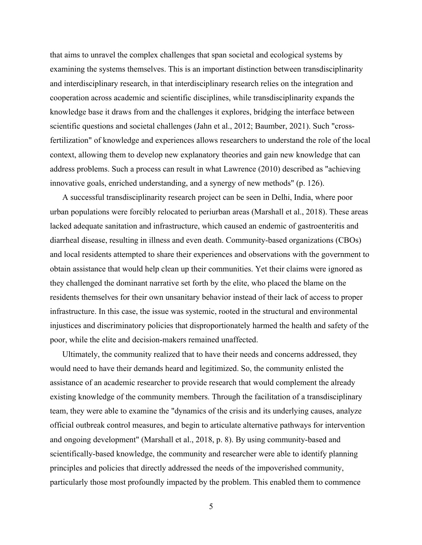that aims to unravel the complex challenges that span societal and ecological systems by examining the systems themselves. This is an important distinction between transdisciplinarity and interdisciplinary research, in that interdisciplinary research relies on the integration and cooperation across academic and scientific disciplines, while transdisciplinarity expands the knowledge base it draws from and the challenges it explores, bridging the interface between scientific questions and societal challenges (Jahn et al., 2012; Baumber, 2021). Such "crossfertilization" of knowledge and experiences allows researchers to understand the role of the local context, allowing them to develop new explanatory theories and gain new knowledge that can address problems. Such a process can result in what Lawrence (2010) described as "achieving innovative goals, enriched understanding, and a synergy of new methods" (p. 126).

A successful transdisciplinarity research project can be seen in Delhi, India, where poor urban populations were forcibly relocated to periurban areas (Marshall et al., 2018). These areas lacked adequate sanitation and infrastructure, which caused an endemic of gastroenteritis and diarrheal disease, resulting in illness and even death. Community-based organizations (CBOs) and local residents attempted to share their experiences and observations with the government to obtain assistance that would help clean up their communities. Yet their claims were ignored as they challenged the dominant narrative set forth by the elite, who placed the blame on the residents themselves for their own unsanitary behavior instead of their lack of access to proper infrastructure. In this case, the issue was systemic, rooted in the structural and environmental injustices and discriminatory policies that disproportionately harmed the health and safety of the poor, while the elite and decision-makers remained unaffected.

Ultimately, the community realized that to have their needs and concerns addressed, they would need to have their demands heard and legitimized. So, the community enlisted the assistance of an academic researcher to provide research that would complement the already existing knowledge of the community members. Through the facilitation of a transdisciplinary team, they were able to examine the "dynamics of the crisis and its underlying causes, analyze official outbreak control measures, and begin to articulate alternative pathways for intervention and ongoing development" (Marshall et al., 2018, p. 8). By using community-based and scientifically-based knowledge, the community and researcher were able to identify planning principles and policies that directly addressed the needs of the impoverished community, particularly those most profoundly impacted by the problem. This enabled them to commence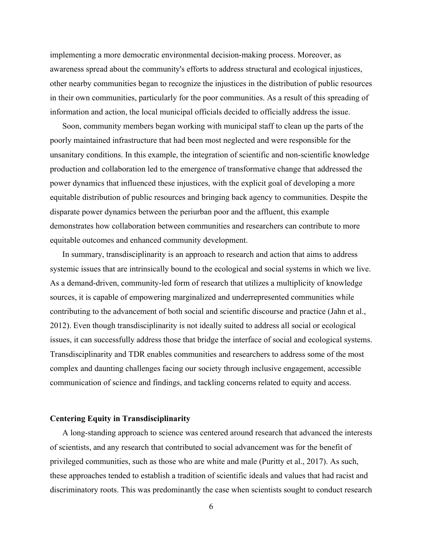implementing a more democratic environmental decision-making process. Moreover, as awareness spread about the community's efforts to address structural and ecological injustices, other nearby communities began to recognize the injustices in the distribution of public resources in their own communities, particularly for the poor communities. As a result of this spreading of information and action, the local municipal officials decided to officially address the issue.

Soon, community members began working with municipal staff to clean up the parts of the poorly maintained infrastructure that had been most neglected and were responsible for the unsanitary conditions. In this example, the integration of scientific and non-scientific knowledge production and collaboration led to the emergence of transformative change that addressed the power dynamics that influenced these injustices, with the explicit goal of developing a more equitable distribution of public resources and bringing back agency to communities. Despite the disparate power dynamics between the periurban poor and the affluent, this example demonstrates how collaboration between communities and researchers can contribute to more equitable outcomes and enhanced community development.

In summary, transdisciplinarity is an approach to research and action that aims to address systemic issues that are intrinsically bound to the ecological and social systems in which we live. As a demand-driven, community-led form of research that utilizes a multiplicity of knowledge sources, it is capable of empowering marginalized and underrepresented communities while contributing to the advancement of both social and scientific discourse and practice (Jahn et al., 2012). Even though transdisciplinarity is not ideally suited to address all social or ecological issues, it can successfully address those that bridge the interface of social and ecological systems. Transdisciplinarity and TDR enables communities and researchers to address some of the most complex and daunting challenges facing our society through inclusive engagement, accessible communication of science and findings, and tackling concerns related to equity and access.

## **Centering Equity in Transdisciplinarity**

A long-standing approach to science was centered around research that advanced the interests of scientists, and any research that contributed to social advancement was for the benefit of privileged communities, such as those who are white and male (Puritty et al., 2017). As such, these approaches tended to establish a tradition of scientific ideals and values that had racist and discriminatory roots. This was predominantly the case when scientists sought to conduct research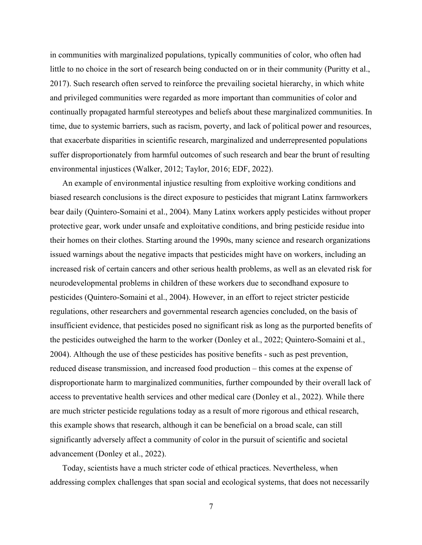in communities with marginalized populations, typically communities of color, who often had little to no choice in the sort of research being conducted on or in their community (Puritty et al., 2017). Such research often served to reinforce the prevailing societal hierarchy, in which white and privileged communities were regarded as more important than communities of color and continually propagated harmful stereotypes and beliefs about these marginalized communities. In time, due to systemic barriers, such as racism, poverty, and lack of political power and resources, that exacerbate disparities in scientific research, marginalized and underrepresented populations suffer disproportionately from harmful outcomes of such research and bear the brunt of resulting environmental injustices (Walker, 2012; Taylor, 2016; EDF, 2022).

An example of environmental injustice resulting from exploitive working conditions and biased research conclusions is the direct exposure to pesticides that migrant Latinx farmworkers bear daily (Quintero-Somaini et al., 2004). Many Latinx workers apply pesticides without proper protective gear, work under unsafe and exploitative conditions, and bring pesticide residue into their homes on their clothes. Starting around the 1990s, many science and research organizations issued warnings about the negative impacts that pesticides might have on workers, including an increased risk of certain cancers and other serious health problems, as well as an elevated risk for neurodevelopmental problems in children of these workers due to secondhand exposure to pesticides (Quintero-Somaini et al., 2004). However, in an effort to reject stricter pesticide regulations, other researchers and governmental research agencies concluded, on the basis of insufficient evidence, that pesticides posed no significant risk as long as the purported benefits of the pesticides outweighed the harm to the worker (Donley et al., 2022; Quintero-Somaini et al., 2004). Although the use of these pesticides has positive benefits - such as pest prevention, reduced disease transmission, and increased food production – this comes at the expense of disproportionate harm to marginalized communities, further compounded by their overall lack of access to preventative health services and other medical care (Donley et al., 2022). While there are much stricter pesticide regulations today as a result of more rigorous and ethical research, this example shows that research, although it can be beneficial on a broad scale, can still significantly adversely affect a community of color in the pursuit of scientific and societal advancement (Donley et al., 2022).

Today, scientists have a much stricter code of ethical practices. Nevertheless, when addressing complex challenges that span social and ecological systems, that does not necessarily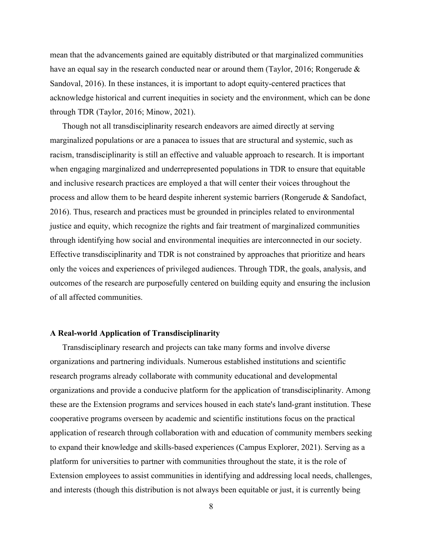mean that the advancements gained are equitably distributed or that marginalized communities have an equal say in the research conducted near or around them (Taylor, 2016; Rongerude & Sandoval, 2016). In these instances, it is important to adopt equity-centered practices that acknowledge historical and current inequities in society and the environment, which can be done through TDR (Taylor, 2016; Minow, 2021).

Though not all transdisciplinarity research endeavors are aimed directly at serving marginalized populations or are a panacea to issues that are structural and systemic, such as racism, transdisciplinarity is still an effective and valuable approach to research. It is important when engaging marginalized and underrepresented populations in TDR to ensure that equitable and inclusive research practices are employed a that will center their voices throughout the process and allow them to be heard despite inherent systemic barriers (Rongerude & Sandofact, 2016). Thus, research and practices must be grounded in principles related to environmental justice and equity, which recognize the rights and fair treatment of marginalized communities through identifying how social and environmental inequities are interconnected in our society. Effective transdisciplinarity and TDR is not constrained by approaches that prioritize and hears only the voices and experiences of privileged audiences. Through TDR, the goals, analysis, and outcomes of the research are purposefully centered on building equity and ensuring the inclusion of all affected communities.

## **A Real-world Application of Transdisciplinarity**

Transdisciplinary research and projects can take many forms and involve diverse organizations and partnering individuals. Numerous established institutions and scientific research programs already collaborate with community educational and developmental organizations and provide a conducive platform for the application of transdisciplinarity. Among these are the Extension programs and services housed in each state's land-grant institution. These cooperative programs overseen by academic and scientific institutions focus on the practical application of research through collaboration with and education of community members seeking to expand their knowledge and skills-based experiences (Campus Explorer, 2021). Serving as a platform for universities to partner with communities throughout the state, it is the role of Extension employees to assist communities in identifying and addressing local needs, challenges, and interests (though this distribution is not always been equitable or just, it is currently being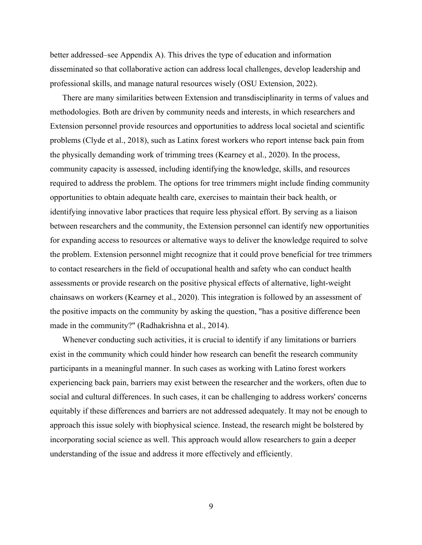better addressed–see Appendix A). This drives the type of education and information disseminated so that collaborative action can address local challenges, develop leadership and professional skills, and manage natural resources wisely (OSU Extension, 2022).

There are many similarities between Extension and transdisciplinarity in terms of values and methodologies. Both are driven by community needs and interests, in which researchers and Extension personnel provide resources and opportunities to address local societal and scientific problems (Clyde et al., 2018), such as Latinx forest workers who report intense back pain from the physically demanding work of trimming trees (Kearney et al., 2020). In the process, community capacity is assessed, including identifying the knowledge, skills, and resources required to address the problem. The options for tree trimmers might include finding community opportunities to obtain adequate health care, exercises to maintain their back health, or identifying innovative labor practices that require less physical effort. By serving as a liaison between researchers and the community, the Extension personnel can identify new opportunities for expanding access to resources or alternative ways to deliver the knowledge required to solve the problem. Extension personnel might recognize that it could prove beneficial for tree trimmers to contact researchers in the field of occupational health and safety who can conduct health assessments or provide research on the positive physical effects of alternative, light-weight chainsaws on workers (Kearney et al., 2020). This integration is followed by an assessment of the positive impacts on the community by asking the question, "has a positive difference been made in the community?" (Radhakrishna et al., 2014).

Whenever conducting such activities, it is crucial to identify if any limitations or barriers exist in the community which could hinder how research can benefit the research community participants in a meaningful manner. In such cases as working with Latino forest workers experiencing back pain, barriers may exist between the researcher and the workers, often due to social and cultural differences. In such cases, it can be challenging to address workers' concerns equitably if these differences and barriers are not addressed adequately. It may not be enough to approach this issue solely with biophysical science. Instead, the research might be bolstered by incorporating social science as well. This approach would allow researchers to gain a deeper understanding of the issue and address it more effectively and efficiently.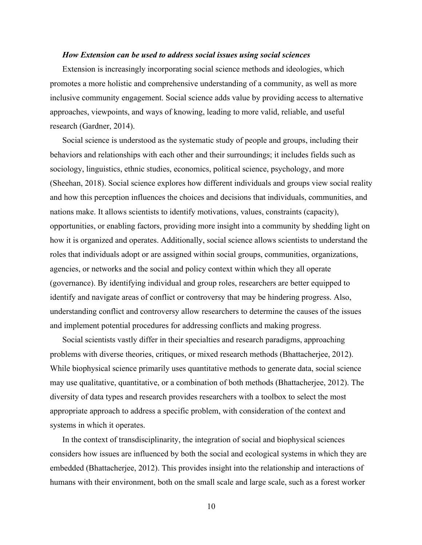### *How Extension can be used to address social issues using social sciences*

Extension is increasingly incorporating social science methods and ideologies, which promotes a more holistic and comprehensive understanding of a community, as well as more inclusive community engagement. Social science adds value by providing access to alternative approaches, viewpoints, and ways of knowing, leading to more valid, reliable, and useful research (Gardner, 2014).

Social science is understood as the systematic study of people and groups, including their behaviors and relationships with each other and their surroundings; it includes fields such as sociology, linguistics, ethnic studies, economics, political science, psychology, and more (Sheehan, 2018). Social science explores how different individuals and groups view social reality and how this perception influences the choices and decisions that individuals, communities, and nations make. It allows scientists to identify motivations, values, constraints (capacity), opportunities, or enabling factors, providing more insight into a community by shedding light on how it is organized and operates. Additionally, social science allows scientists to understand the roles that individuals adopt or are assigned within social groups, communities, organizations, agencies, or networks and the social and policy context within which they all operate (governance). By identifying individual and group roles, researchers are better equipped to identify and navigate areas of conflict or controversy that may be hindering progress. Also, understanding conflict and controversy allow researchers to determine the causes of the issues and implement potential procedures for addressing conflicts and making progress.

Social scientists vastly differ in their specialties and research paradigms, approaching problems with diverse theories, critiques, or mixed research methods (Bhattacherjee, 2012). While biophysical science primarily uses quantitative methods to generate data, social science may use qualitative, quantitative, or a combination of both methods (Bhattacherjee, 2012). The diversity of data types and research provides researchers with a toolbox to select the most appropriate approach to address a specific problem, with consideration of the context and systems in which it operates.

In the context of transdisciplinarity, the integration of social and biophysical sciences considers how issues are influenced by both the social and ecological systems in which they are embedded (Bhattacherjee, 2012). This provides insight into the relationship and interactions of humans with their environment, both on the small scale and large scale, such as a forest worker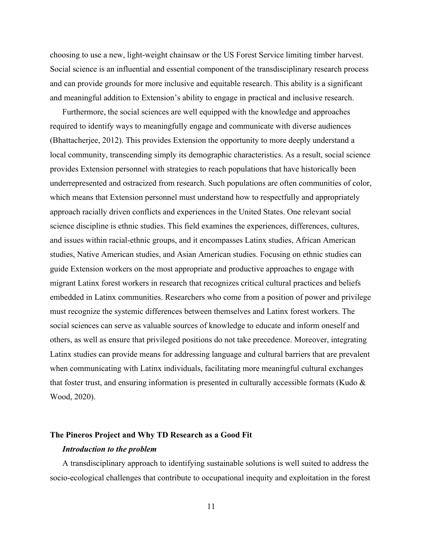choosing to use a new, light-weight chainsaw or the US Forest Service limiting timber harvest. Social science is an influential and essential component of the transdisciplinary research process and can provide grounds for more inclusive and equitable research. This ability is a significant and meaningful addition to Extension's ability to engage in practical and inclusive research.

Furthermore, the social sciences are well equipped with the knowledge and approaches required to identify ways to meaningfully engage and communicate with diverse audiences (Bhattacherjee, 2012). This provides Extension the opportunity to more deeply understand a local community, transcending simply its demographic characteristics. As a result, social science provides Extension personnel with strategies to reach populations that have historically been underrepresented and ostracized from research. Such populations are often communities of color, which means that Extension personnel must understand how to respectfully and appropriately approach racially driven conflicts and experiences in the United States. One relevant social science discipline is ethnic studies. This field examines the experiences, differences, cultures, and issues within racial-ethnic groups, and it encompasses Latinx studies, African American studies, Native American studies, and Asian American studies. Focusing on ethnic studies can guide Extension workers on the most appropriate and productive approaches to engage with migrant Latinx forest workers in research that recognizes critical cultural practices and beliefs embedded in Latinx communities. Researchers who come from a position of power and privilege must recognize the systemic differences between themselves and Latinx forest workers. The social sciences can serve as valuable sources of knowledge to educate and inform oneself and others, as well as ensure that privileged positions do not take precedence. Moreover, integrating Latinx studies can provide means for addressing language and cultural barriers that are prevalent when communicating with Latinx individuals, facilitating more meaningful cultural exchanges that foster trust, and ensuring information is presented in culturally accessible formats (Kudo  $\&$ Wood, 2020).

# **The Pineros Project and Why TD Research as a Good Fit**

#### *Introduction to the problem*

A transdisciplinary approach to identifying sustainable solutions is well suited to address the socio-ecological challenges that contribute to occupational inequity and exploitation in the forest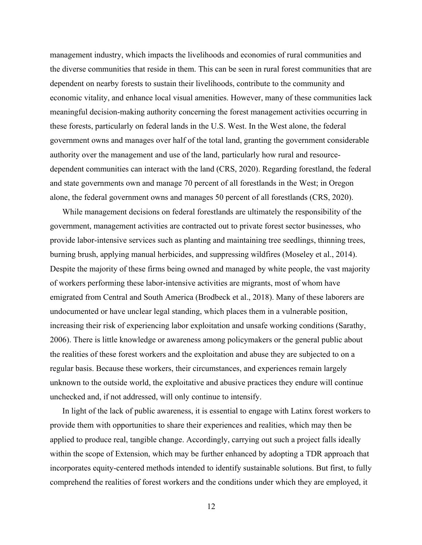management industry, which impacts the livelihoods and economies of rural communities and the diverse communities that reside in them. This can be seen in rural forest communities that are dependent on nearby forests to sustain their livelihoods, contribute to the community and economic vitality, and enhance local visual amenities. However, many of these communities lack meaningful decision-making authority concerning the forest management activities occurring in these forests, particularly on federal lands in the U.S. West. In the West alone, the federal government owns and manages over half of the total land, granting the government considerable authority over the management and use of the land, particularly how rural and resourcedependent communities can interact with the land (CRS, 2020). Regarding forestland, the federal and state governments own and manage 70 percent of all forestlands in the West; in Oregon alone, the federal government owns and manages 50 percent of all forestlands (CRS, 2020).

While management decisions on federal forestlands are ultimately the responsibility of the government, management activities are contracted out to private forest sector businesses, who provide labor-intensive services such as planting and maintaining tree seedlings, thinning trees, burning brush, applying manual herbicides, and suppressing wildfires (Moseley et al., 2014). Despite the majority of these firms being owned and managed by white people, the vast majority of workers performing these labor-intensive activities are migrants, most of whom have emigrated from Central and South America (Brodbeck et al., 2018). Many of these laborers are undocumented or have unclear legal standing, which places them in a vulnerable position, increasing their risk of experiencing labor exploitation and unsafe working conditions (Sarathy, 2006). There is little knowledge or awareness among policymakers or the general public about the realities of these forest workers and the exploitation and abuse they are subjected to on a regular basis. Because these workers, their circumstances, and experiences remain largely unknown to the outside world, the exploitative and abusive practices they endure will continue unchecked and, if not addressed, will only continue to intensify.

In light of the lack of public awareness, it is essential to engage with Latinx forest workers to provide them with opportunities to share their experiences and realities, which may then be applied to produce real, tangible change. Accordingly, carrying out such a project falls ideally within the scope of Extension, which may be further enhanced by adopting a TDR approach that incorporates equity-centered methods intended to identify sustainable solutions. But first, to fully comprehend the realities of forest workers and the conditions under which they are employed, it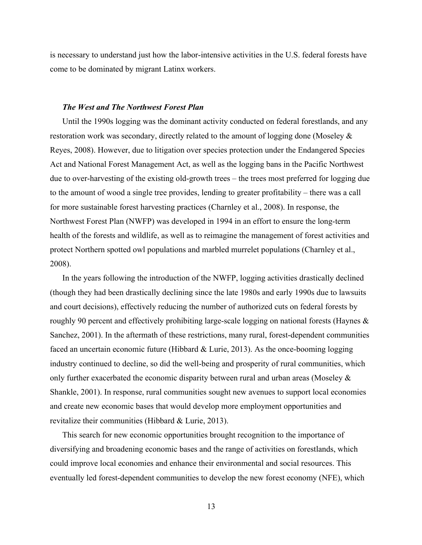is necessary to understand just how the labor-intensive activities in the U.S. federal forests have come to be dominated by migrant Latinx workers.

### *The West and The Northwest Forest Plan*

Until the 1990s logging was the dominant activity conducted on federal forestlands, and any restoration work was secondary, directly related to the amount of logging done (Moseley & Reyes, 2008). However, due to litigation over species protection under the Endangered Species Act and National Forest Management Act, as well as the logging bans in the Pacific Northwest due to over-harvesting of the existing old-growth trees – the trees most preferred for logging due to the amount of wood a single tree provides, lending to greater profitability – there was a call for more sustainable forest harvesting practices (Charnley et al., 2008). In response, the Northwest Forest Plan (NWFP) was developed in 1994 in an effort to ensure the long-term health of the forests and wildlife, as well as to reimagine the management of forest activities and protect Northern spotted owl populations and marbled murrelet populations (Charnley et al., 2008).

In the years following the introduction of the NWFP, logging activities drastically declined (though they had been drastically declining since the late 1980s and early 1990s due to lawsuits and court decisions), effectively reducing the number of authorized cuts on federal forests by roughly 90 percent and effectively prohibiting large-scale logging on national forests (Haynes & Sanchez, 2001). In the aftermath of these restrictions, many rural, forest-dependent communities faced an uncertain economic future (Hibbard & Lurie, 2013). As the once-booming logging industry continued to decline, so did the well-being and prosperity of rural communities, which only further exacerbated the economic disparity between rural and urban areas (Moseley & Shankle, 2001). In response, rural communities sought new avenues to support local economies and create new economic bases that would develop more employment opportunities and revitalize their communities (Hibbard & Lurie, 2013).

This search for new economic opportunities brought recognition to the importance of diversifying and broadening economic bases and the range of activities on forestlands, which could improve local economies and enhance their environmental and social resources. This eventually led forest-dependent communities to develop the new forest economy (NFE), which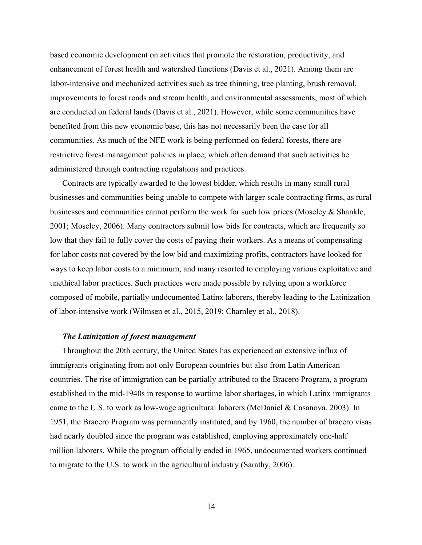based economic development on activities that promote the restoration, productivity, and enhancement of forest health and watershed functions (Davis et al., 2021). Among them are labor-intensive and mechanized activities such as tree thinning, tree planting, brush removal, improvements to forest roads and stream health, and environmental assessments, most of which are conducted on federal lands (Davis et al., 2021). However, while some communities have benefited from this new economic base, this has not necessarily been the case for all communities. As much of the NFE work is being performed on federal forests, there are restrictive forest management policies in place, which often demand that such activities be administered through contracting regulations and practices.

Contracts are typically awarded to the lowest bidder, which results in many small rural businesses and communities being unable to compete with larger-scale contracting firms, as rural businesses and communities cannot perform the work for such low prices (Moseley & Shankle, 2001; Moseley, 2006). Many contractors submit low bids for contracts, which are frequently so low that they fail to fully cover the costs of paying their workers. As a means of compensating for labor costs not covered by the low bid and maximizing profits, contractors have looked for ways to keep labor costs to a minimum, and many resorted to employing various exploitative and unethical labor practices. Such practices were made possible by relying upon a workforce composed of mobile, partially undocumented Latinx laborers, thereby leading to the Latinization of labor-intensive work (Wilmsen et al., 2015, 2019; Charnley et al., 2018).

## *The Latinization of forest management*

Throughout the 20th century, the United States has experienced an extensive influx of immigrants originating from not only European countries but also from Latin American countries. The rise of immigration can be partially attributed to the Bracero Program, a program established in the mid-1940s in response to wartime labor shortages, in which Latinx immigrants came to the U.S. to work as low-wage agricultural laborers (McDaniel & Casanova, 2003). In 1951, the Bracero Program was permanently instituted, and by 1960, the number of bracero visas had nearly doubled since the program was established, employing approximately one-half million laborers. While the program officially ended in 1965, undocumented workers continued to migrate to the U.S. to work in the agricultural industry (Sarathy, 2006).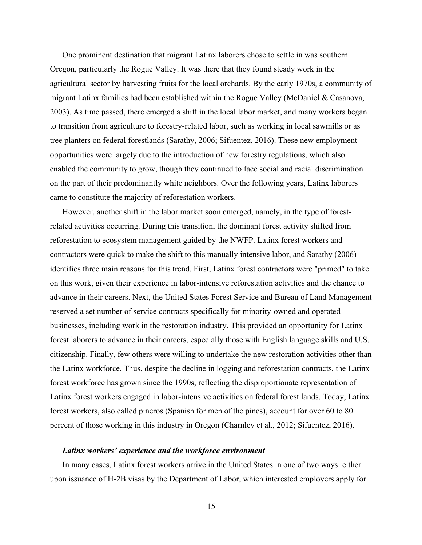One prominent destination that migrant Latinx laborers chose to settle in was southern Oregon, particularly the Rogue Valley. It was there that they found steady work in the agricultural sector by harvesting fruits for the local orchards. By the early 1970s, a community of migrant Latinx families had been established within the Rogue Valley (McDaniel & Casanova, 2003). As time passed, there emerged a shift in the local labor market, and many workers began to transition from agriculture to forestry-related labor, such as working in local sawmills or as tree planters on federal forestlands (Sarathy, 2006; Sifuentez, 2016). These new employment opportunities were largely due to the introduction of new forestry regulations, which also enabled the community to grow, though they continued to face social and racial discrimination on the part of their predominantly white neighbors. Over the following years, Latinx laborers came to constitute the majority of reforestation workers.

However, another shift in the labor market soon emerged, namely, in the type of forestrelated activities occurring. During this transition, the dominant forest activity shifted from reforestation to ecosystem management guided by the NWFP. Latinx forest workers and contractors were quick to make the shift to this manually intensive labor, and Sarathy (2006) identifies three main reasons for this trend. First, Latinx forest contractors were "primed" to take on this work, given their experience in labor-intensive reforestation activities and the chance to advance in their careers. Next, the United States Forest Service and Bureau of Land Management reserved a set number of service contracts specifically for minority-owned and operated businesses, including work in the restoration industry. This provided an opportunity for Latinx forest laborers to advance in their careers, especially those with English language skills and U.S. citizenship. Finally, few others were willing to undertake the new restoration activities other than the Latinx workforce. Thus, despite the decline in logging and reforestation contracts, the Latinx forest workforce has grown since the 1990s, reflecting the disproportionate representation of Latinx forest workers engaged in labor-intensive activities on federal forest lands. Today, Latinx forest workers, also called pineros (Spanish for men of the pines), account for over 60 to 80 percent of those working in this industry in Oregon (Charnley et al., 2012; Sifuentez, 2016).

# *Latinx workers' experience and the workforce environment*

In many cases, Latinx forest workers arrive in the United States in one of two ways: either upon issuance of H-2B visas by the Department of Labor, which interested employers apply for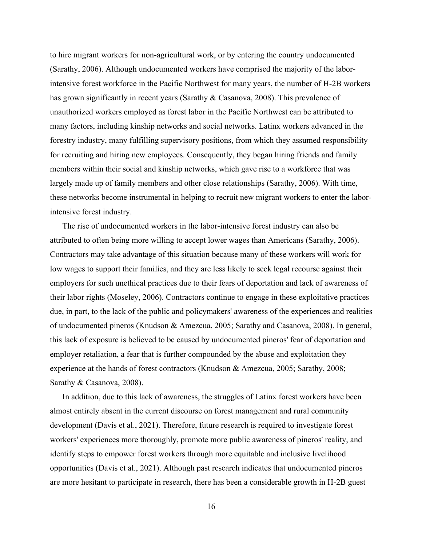to hire migrant workers for non-agricultural work, or by entering the country undocumented (Sarathy, 2006). Although undocumented workers have comprised the majority of the laborintensive forest workforce in the Pacific Northwest for many years, the number of H-2B workers has grown significantly in recent years (Sarathy & Casanova, 2008). This prevalence of unauthorized workers employed as forest labor in the Pacific Northwest can be attributed to many factors, including kinship networks and social networks. Latinx workers advanced in the forestry industry, many fulfilling supervisory positions, from which they assumed responsibility for recruiting and hiring new employees. Consequently, they began hiring friends and family members within their social and kinship networks, which gave rise to a workforce that was largely made up of family members and other close relationships (Sarathy, 2006). With time, these networks become instrumental in helping to recruit new migrant workers to enter the laborintensive forest industry.

The rise of undocumented workers in the labor-intensive forest industry can also be attributed to often being more willing to accept lower wages than Americans (Sarathy, 2006). Contractors may take advantage of this situation because many of these workers will work for low wages to support their families, and they are less likely to seek legal recourse against their employers for such unethical practices due to their fears of deportation and lack of awareness of their labor rights (Moseley, 2006). Contractors continue to engage in these exploitative practices due, in part, to the lack of the public and policymakers' awareness of the experiences and realities of undocumented pineros (Knudson & Amezcua, 2005; Sarathy and Casanova, 2008). In general, this lack of exposure is believed to be caused by undocumented pineros' fear of deportation and employer retaliation, a fear that is further compounded by the abuse and exploitation they experience at the hands of forest contractors (Knudson & Amezcua, 2005; Sarathy, 2008; Sarathy & Casanova, 2008).

In addition, due to this lack of awareness, the struggles of Latinx forest workers have been almost entirely absent in the current discourse on forest management and rural community development (Davis et al., 2021). Therefore, future research is required to investigate forest workers' experiences more thoroughly, promote more public awareness of pineros' reality, and identify steps to empower forest workers through more equitable and inclusive livelihood opportunities (Davis et al., 2021). Although past research indicates that undocumented pineros are more hesitant to participate in research, there has been a considerable growth in H-2B guest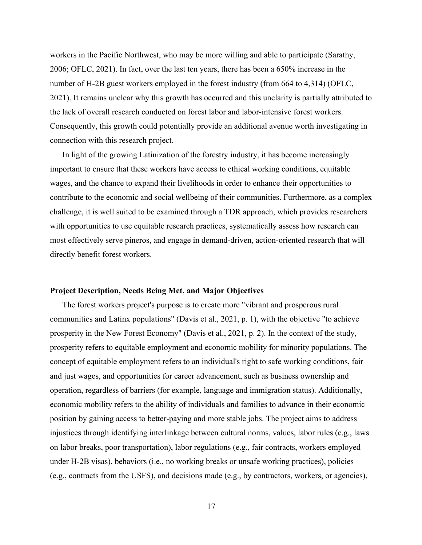workers in the Pacific Northwest, who may be more willing and able to participate (Sarathy, 2006; OFLC, 2021). In fact, over the last ten years, there has been a 650% increase in the number of H-2B guest workers employed in the forest industry (from 664 to 4,314) (OFLC, 2021). It remains unclear why this growth has occurred and this unclarity is partially attributed to the lack of overall research conducted on forest labor and labor-intensive forest workers. Consequently, this growth could potentially provide an additional avenue worth investigating in connection with this research project.

In light of the growing Latinization of the forestry industry, it has become increasingly important to ensure that these workers have access to ethical working conditions, equitable wages, and the chance to expand their livelihoods in order to enhance their opportunities to contribute to the economic and social wellbeing of their communities. Furthermore, as a complex challenge, it is well suited to be examined through a TDR approach, which provides researchers with opportunities to use equitable research practices, systematically assess how research can most effectively serve pineros, and engage in demand-driven, action-oriented research that will directly benefit forest workers.

#### **Project Description, Needs Being Met, and Major Objectives**

The forest workers project's purpose is to create more "vibrant and prosperous rural communities and Latinx populations" (Davis et al., 2021, p. 1), with the objective "to achieve prosperity in the New Forest Economy" (Davis et al., 2021, p. 2). In the context of the study, prosperity refers to equitable employment and economic mobility for minority populations. The concept of equitable employment refers to an individual's right to safe working conditions, fair and just wages, and opportunities for career advancement, such as business ownership and operation, regardless of barriers (for example, language and immigration status). Additionally, economic mobility refers to the ability of individuals and families to advance in their economic position by gaining access to better-paying and more stable jobs. The project aims to address injustices through identifying interlinkage between cultural norms, values, labor rules (e.g., laws on labor breaks, poor transportation), labor regulations (e.g., fair contracts, workers employed under H-2B visas), behaviors (i.e., no working breaks or unsafe working practices), policies (e.g., contracts from the USFS), and decisions made (e.g., by contractors, workers, or agencies),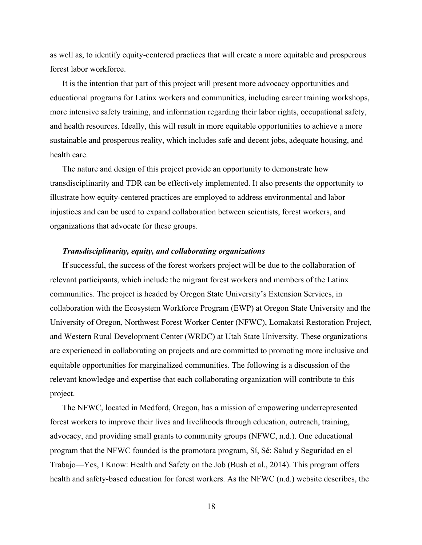as well as, to identify equity-centered practices that will create a more equitable and prosperous forest labor workforce.

It is the intention that part of this project will present more advocacy opportunities and educational programs for Latinx workers and communities, including career training workshops, more intensive safety training, and information regarding their labor rights, occupational safety, and health resources. Ideally, this will result in more equitable opportunities to achieve a more sustainable and prosperous reality, which includes safe and decent jobs, adequate housing, and health care.

The nature and design of this project provide an opportunity to demonstrate how transdisciplinarity and TDR can be effectively implemented. It also presents the opportunity to illustrate how equity-centered practices are employed to address environmental and labor injustices and can be used to expand collaboration between scientists, forest workers, and organizations that advocate for these groups.

### *Transdisciplinarity, equity, and collaborating organizations*

If successful, the success of the forest workers project will be due to the collaboration of relevant participants, which include the migrant forest workers and members of the Latinx communities. The project is headed by Oregon State University's Extension Services, in collaboration with the Ecosystem Workforce Program (EWP) at Oregon State University and the University of Oregon, Northwest Forest Worker Center (NFWC), Lomakatsi Restoration Project, and Western Rural Development Center (WRDC) at Utah State University. These organizations are experienced in collaborating on projects and are committed to promoting more inclusive and equitable opportunities for marginalized communities. The following is a discussion of the relevant knowledge and expertise that each collaborating organization will contribute to this project.

The NFWC, located in Medford, Oregon, has a mission of empowering underrepresented forest workers to improve their lives and livelihoods through education, outreach, training, advocacy, and providing small grants to community groups (NFWC, n.d.). One educational program that the NFWC founded is the promotora program, Sí, Sé: Salud y Seguridad en el Trabajo—Yes, I Know: Health and Safety on the Job (Bush et al., 2014). This program offers health and safety-based education for forest workers. As the NFWC (n.d.) website describes, the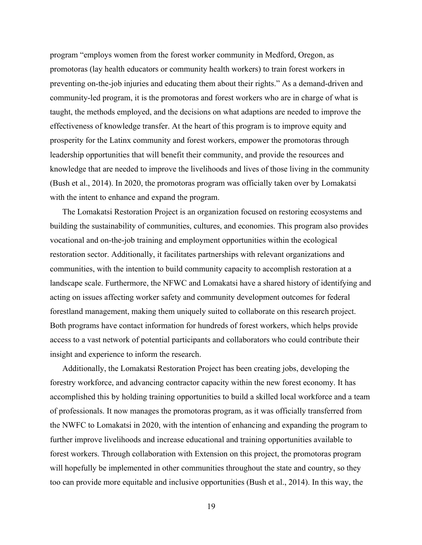program "employs women from the forest worker community in Medford, Oregon, as promotoras (lay health educators or community health workers) to train forest workers in preventing on-the-job injuries and educating them about their rights." As a demand-driven and community-led program, it is the promotoras and forest workers who are in charge of what is taught, the methods employed, and the decisions on what adaptions are needed to improve the effectiveness of knowledge transfer. At the heart of this program is to improve equity and prosperity for the Latinx community and forest workers, empower the promotoras through leadership opportunities that will benefit their community, and provide the resources and knowledge that are needed to improve the livelihoods and lives of those living in the community (Bush et al., 2014). In 2020, the promotoras program was officially taken over by Lomakatsi with the intent to enhance and expand the program.

The Lomakatsi Restoration Project is an organization focused on restoring ecosystems and building the sustainability of communities, cultures, and economies. This program also provides vocational and on-the-job training and employment opportunities within the ecological restoration sector. Additionally, it facilitates partnerships with relevant organizations and communities, with the intention to build community capacity to accomplish restoration at a landscape scale. Furthermore, the NFWC and Lomakatsi have a shared history of identifying and acting on issues affecting worker safety and community development outcomes for federal forestland management, making them uniquely suited to collaborate on this research project. Both programs have contact information for hundreds of forest workers, which helps provide access to a vast network of potential participants and collaborators who could contribute their insight and experience to inform the research.

Additionally, the Lomakatsi Restoration Project has been creating jobs, developing the forestry workforce, and advancing contractor capacity within the new forest economy. It has accomplished this by holding training opportunities to build a skilled local workforce and a team of professionals. It now manages the promotoras program, as it was officially transferred from the NWFC to Lomakatsi in 2020, with the intention of enhancing and expanding the program to further improve livelihoods and increase educational and training opportunities available to forest workers. Through collaboration with Extension on this project, the promotoras program will hopefully be implemented in other communities throughout the state and country, so they too can provide more equitable and inclusive opportunities (Bush et al., 2014). In this way, the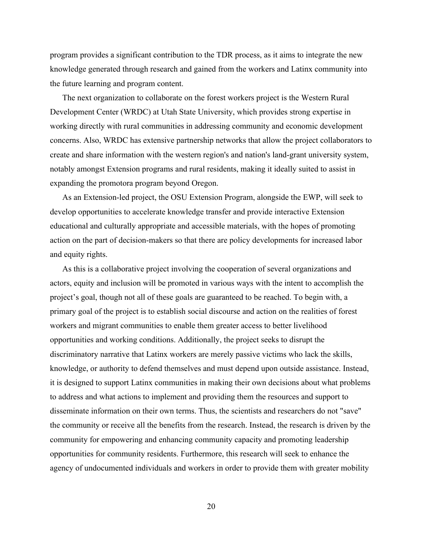program provides a significant contribution to the TDR process, as it aims to integrate the new knowledge generated through research and gained from the workers and Latinx community into the future learning and program content.

The next organization to collaborate on the forest workers project is the Western Rural Development Center (WRDC) at Utah State University, which provides strong expertise in working directly with rural communities in addressing community and economic development concerns. Also, WRDC has extensive partnership networks that allow the project collaborators to create and share information with the western region's and nation's land-grant university system, notably amongst Extension programs and rural residents, making it ideally suited to assist in expanding the promotora program beyond Oregon.

As an Extension-led project, the OSU Extension Program, alongside the EWP, will seek to develop opportunities to accelerate knowledge transfer and provide interactive Extension educational and culturally appropriate and accessible materials, with the hopes of promoting action on the part of decision-makers so that there are policy developments for increased labor and equity rights.

As this is a collaborative project involving the cooperation of several organizations and actors, equity and inclusion will be promoted in various ways with the intent to accomplish the project's goal, though not all of these goals are guaranteed to be reached. To begin with, a primary goal of the project is to establish social discourse and action on the realities of forest workers and migrant communities to enable them greater access to better livelihood opportunities and working conditions. Additionally, the project seeks to disrupt the discriminatory narrative that Latinx workers are merely passive victims who lack the skills, knowledge, or authority to defend themselves and must depend upon outside assistance. Instead, it is designed to support Latinx communities in making their own decisions about what problems to address and what actions to implement and providing them the resources and support to disseminate information on their own terms. Thus, the scientists and researchers do not "save" the community or receive all the benefits from the research. Instead, the research is driven by the community for empowering and enhancing community capacity and promoting leadership opportunities for community residents. Furthermore, this research will seek to enhance the agency of undocumented individuals and workers in order to provide them with greater mobility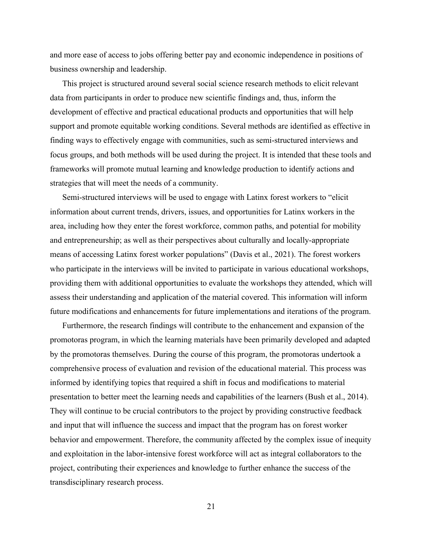and more ease of access to jobs offering better pay and economic independence in positions of business ownership and leadership.

This project is structured around several social science research methods to elicit relevant data from participants in order to produce new scientific findings and, thus, inform the development of effective and practical educational products and opportunities that will help support and promote equitable working conditions. Several methods are identified as effective in finding ways to effectively engage with communities, such as semi-structured interviews and focus groups, and both methods will be used during the project. It is intended that these tools and frameworks will promote mutual learning and knowledge production to identify actions and strategies that will meet the needs of a community.

Semi-structured interviews will be used to engage with Latinx forest workers to "elicit information about current trends, drivers, issues, and opportunities for Latinx workers in the area, including how they enter the forest workforce, common paths, and potential for mobility and entrepreneurship; as well as their perspectives about culturally and locally-appropriate means of accessing Latinx forest worker populations" (Davis et al., 2021). The forest workers who participate in the interviews will be invited to participate in various educational workshops, providing them with additional opportunities to evaluate the workshops they attended, which will assess their understanding and application of the material covered. This information will inform future modifications and enhancements for future implementations and iterations of the program.

Furthermore, the research findings will contribute to the enhancement and expansion of the promotoras program, in which the learning materials have been primarily developed and adapted by the promotoras themselves. During the course of this program, the promotoras undertook a comprehensive process of evaluation and revision of the educational material. This process was informed by identifying topics that required a shift in focus and modifications to material presentation to better meet the learning needs and capabilities of the learners (Bush et al., 2014). They will continue to be crucial contributors to the project by providing constructive feedback and input that will influence the success and impact that the program has on forest worker behavior and empowerment. Therefore, the community affected by the complex issue of inequity and exploitation in the labor-intensive forest workforce will act as integral collaborators to the project, contributing their experiences and knowledge to further enhance the success of the transdisciplinary research process.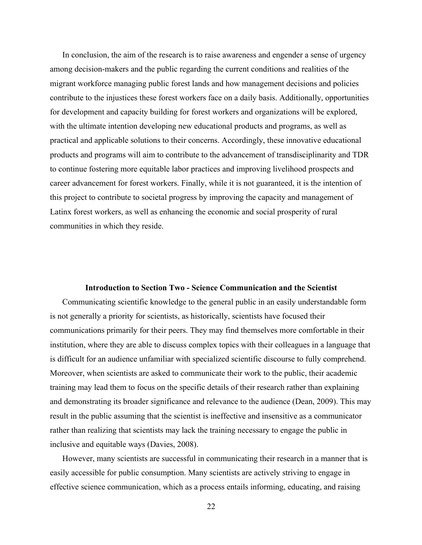In conclusion, the aim of the research is to raise awareness and engender a sense of urgency among decision-makers and the public regarding the current conditions and realities of the migrant workforce managing public forest lands and how management decisions and policies contribute to the injustices these forest workers face on a daily basis. Additionally, opportunities for development and capacity building for forest workers and organizations will be explored, with the ultimate intention developing new educational products and programs, as well as practical and applicable solutions to their concerns. Accordingly, these innovative educational products and programs will aim to contribute to the advancement of transdisciplinarity and TDR to continue fostering more equitable labor practices and improving livelihood prospects and career advancement for forest workers. Finally, while it is not guaranteed, it is the intention of this project to contribute to societal progress by improving the capacity and management of Latinx forest workers, as well as enhancing the economic and social prosperity of rural communities in which they reside.

# **Introduction to Section Two - Science Communication and the Scientist**

Communicating scientific knowledge to the general public in an easily understandable form is not generally a priority for scientists, as historically, scientists have focused their communications primarily for their peers. They may find themselves more comfortable in their institution, where they are able to discuss complex topics with their colleagues in a language that is difficult for an audience unfamiliar with specialized scientific discourse to fully comprehend. Moreover, when scientists are asked to communicate their work to the public, their academic training may lead them to focus on the specific details of their research rather than explaining and demonstrating its broader significance and relevance to the audience (Dean, 2009). This may result in the public assuming that the scientist is ineffective and insensitive as a communicator rather than realizing that scientists may lack the training necessary to engage the public in inclusive and equitable ways (Davies, 2008).

However, many scientists are successful in communicating their research in a manner that is easily accessible for public consumption. Many scientists are actively striving to engage in effective science communication, which as a process entails informing, educating, and raising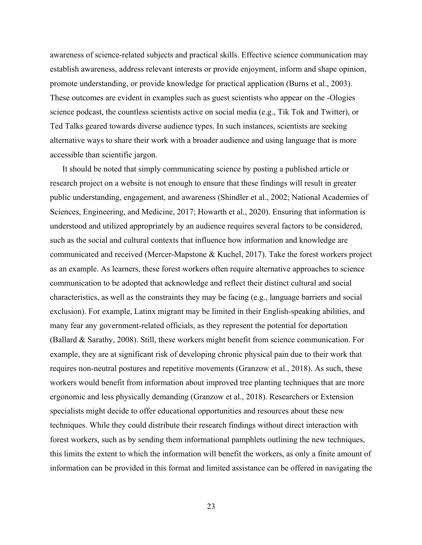awareness of science-related subjects and practical skills. Effective science communication may establish awareness, address relevant interests or provide enjoyment, inform and shape opinion, promote understanding, or provide knowledge for practical application (Burns et al., 2003). These outcomes are evident in examples such as guest scientists who appear on the -Ologies science podcast, the countless scientists active on social media (e.g., Tik Tok and Twitter), or Ted Talks geared towards diverse audience types. In such instances, scientists are seeking alternative ways to share their work with a broader audience and using language that is more accessible than scientific jargon.

It should be noted that simply communicating science by posting a published article or research project on a website is not enough to ensure that these findings will result in greater public understanding, engagement, and awareness (Shindler et al., 2002; National Academies of Sciences, Engineering, and Medicine, 2017; Howarth et al., 2020). Ensuring that information is understood and utilized appropriately by an audience requires several factors to be considered, such as the social and cultural contexts that influence how information and knowledge are communicated and received (Mercer-Mapstone & Kuchel, 2017). Take the forest workers project as an example. As learners, these forest workers often require alternative approaches to science communication to be adopted that acknowledge and reflect their distinct cultural and social characteristics, as well as the constraints they may be facing (e.g., language barriers and social exclusion). For example, Latinx migrant may be limited in their English-speaking abilities, and many fear any government-related officials, as they represent the potential for deportation (Ballard & Sarathy, 2008). Still, these workers might benefit from science communication. For example, they are at significant risk of developing chronic physical pain due to their work that requires non-neutral postures and repetitive movements (Granzow et al., 2018). As such, these workers would benefit from information about improved tree planting techniques that are more ergonomic and less physically demanding (Granzow et al., 2018). Researchers or Extension specialists might decide to offer educational opportunities and resources about these new techniques. While they could distribute their research findings without direct interaction with forest workers, such as by sending them informational pamphlets outlining the new techniques, this limits the extent to which the information will benefit the workers, as only a finite amount of information can be provided in this format and limited assistance can be offered in navigating the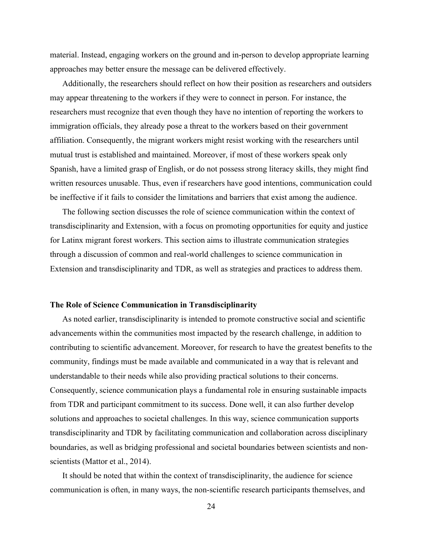material. Instead, engaging workers on the ground and in-person to develop appropriate learning approaches may better ensure the message can be delivered effectively.

Additionally, the researchers should reflect on how their position as researchers and outsiders may appear threatening to the workers if they were to connect in person. For instance, the researchers must recognize that even though they have no intention of reporting the workers to immigration officials, they already pose a threat to the workers based on their government affiliation. Consequently, the migrant workers might resist working with the researchers until mutual trust is established and maintained. Moreover, if most of these workers speak only Spanish, have a limited grasp of English, or do not possess strong literacy skills, they might find written resources unusable. Thus, even if researchers have good intentions, communication could be ineffective if it fails to consider the limitations and barriers that exist among the audience.

The following section discusses the role of science communication within the context of transdisciplinarity and Extension, with a focus on promoting opportunities for equity and justice for Latinx migrant forest workers. This section aims to illustrate communication strategies through a discussion of common and real-world challenges to science communication in Extension and transdisciplinarity and TDR, as well as strategies and practices to address them.

### **The Role of Science Communication in Transdisciplinarity**

As noted earlier, transdisciplinarity is intended to promote constructive social and scientific advancements within the communities most impacted by the research challenge, in addition to contributing to scientific advancement. Moreover, for research to have the greatest benefits to the community, findings must be made available and communicated in a way that is relevant and understandable to their needs while also providing practical solutions to their concerns. Consequently, science communication plays a fundamental role in ensuring sustainable impacts from TDR and participant commitment to its success. Done well, it can also further develop solutions and approaches to societal challenges. In this way, science communication supports transdisciplinarity and TDR by facilitating communication and collaboration across disciplinary boundaries, as well as bridging professional and societal boundaries between scientists and nonscientists (Mattor et al., 2014).

It should be noted that within the context of transdisciplinarity, the audience for science communication is often, in many ways, the non-scientific research participants themselves, and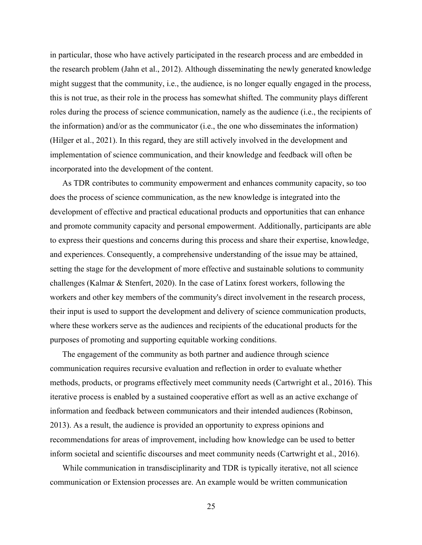in particular, those who have actively participated in the research process and are embedded in the research problem (Jahn et al., 2012). Although disseminating the newly generated knowledge might suggest that the community, i.e., the audience, is no longer equally engaged in the process, this is not true, as their role in the process has somewhat shifted. The community plays different roles during the process of science communication, namely as the audience (i.e., the recipients of the information) and/or as the communicator (i.e., the one who disseminates the information) (Hilger et al., 2021). In this regard, they are still actively involved in the development and implementation of science communication, and their knowledge and feedback will often be incorporated into the development of the content.

As TDR contributes to community empowerment and enhances community capacity, so too does the process of science communication, as the new knowledge is integrated into the development of effective and practical educational products and opportunities that can enhance and promote community capacity and personal empowerment. Additionally, participants are able to express their questions and concerns during this process and share their expertise, knowledge, and experiences. Consequently, a comprehensive understanding of the issue may be attained, setting the stage for the development of more effective and sustainable solutions to community challenges (Kalmar & Stenfert, 2020). In the case of Latinx forest workers, following the workers and other key members of the community's direct involvement in the research process, their input is used to support the development and delivery of science communication products, where these workers serve as the audiences and recipients of the educational products for the purposes of promoting and supporting equitable working conditions.

The engagement of the community as both partner and audience through science communication requires recursive evaluation and reflection in order to evaluate whether methods, products, or programs effectively meet community needs (Cartwright et al., 2016). This iterative process is enabled by a sustained cooperative effort as well as an active exchange of information and feedback between communicators and their intended audiences (Robinson, 2013). As a result, the audience is provided an opportunity to express opinions and recommendations for areas of improvement, including how knowledge can be used to better inform societal and scientific discourses and meet community needs (Cartwright et al., 2016).

While communication in transdisciplinarity and TDR is typically iterative, not all science communication or Extension processes are. An example would be written communication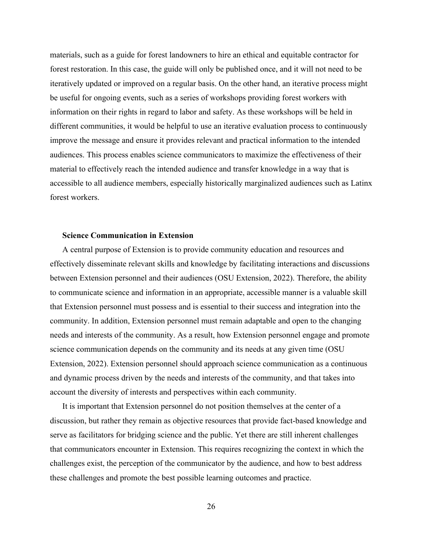materials, such as a guide for forest landowners to hire an ethical and equitable contractor for forest restoration. In this case, the guide will only be published once, and it will not need to be iteratively updated or improved on a regular basis. On the other hand, an iterative process might be useful for ongoing events, such as a series of workshops providing forest workers with information on their rights in regard to labor and safety. As these workshops will be held in different communities, it would be helpful to use an iterative evaluation process to continuously improve the message and ensure it provides relevant and practical information to the intended audiences. This process enables science communicators to maximize the effectiveness of their material to effectively reach the intended audience and transfer knowledge in a way that is accessible to all audience members, especially historically marginalized audiences such as Latinx forest workers.

### **Science Communication in Extension**

A central purpose of Extension is to provide community education and resources and effectively disseminate relevant skills and knowledge by facilitating interactions and discussions between Extension personnel and their audiences (OSU Extension, 2022). Therefore, the ability to communicate science and information in an appropriate, accessible manner is a valuable skill that Extension personnel must possess and is essential to their success and integration into the community. In addition, Extension personnel must remain adaptable and open to the changing needs and interests of the community. As a result, how Extension personnel engage and promote science communication depends on the community and its needs at any given time (OSU Extension, 2022). Extension personnel should approach science communication as a continuous and dynamic process driven by the needs and interests of the community, and that takes into account the diversity of interests and perspectives within each community.

It is important that Extension personnel do not position themselves at the center of a discussion, but rather they remain as objective resources that provide fact-based knowledge and serve as facilitators for bridging science and the public. Yet there are still inherent challenges that communicators encounter in Extension. This requires recognizing the context in which the challenges exist, the perception of the communicator by the audience, and how to best address these challenges and promote the best possible learning outcomes and practice.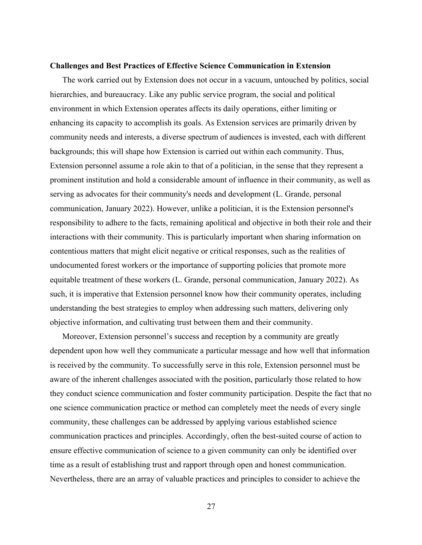### **Challenges and Best Practices of Effective Science Communication in Extension**

The work carried out by Extension does not occur in a vacuum, untouched by politics, social hierarchies, and bureaucracy. Like any public service program, the social and political environment in which Extension operates affects its daily operations, either limiting or enhancing its capacity to accomplish its goals. As Extension services are primarily driven by community needs and interests, a diverse spectrum of audiences is invested, each with different backgrounds; this will shape how Extension is carried out within each community. Thus, Extension personnel assume a role akin to that of a politician, in the sense that they represent a prominent institution and hold a considerable amount of influence in their community, as well as serving as advocates for their community's needs and development (L. Grande, personal communication, January 2022). However, unlike a politician, it is the Extension personnel's responsibility to adhere to the facts, remaining apolitical and objective in both their role and their interactions with their community. This is particularly important when sharing information on contentious matters that might elicit negative or critical responses, such as the realities of undocumented forest workers or the importance of supporting policies that promote more equitable treatment of these workers (L. Grande, personal communication, January 2022). As such, it is imperative that Extension personnel know how their community operates, including understanding the best strategies to employ when addressing such matters, delivering only objective information, and cultivating trust between them and their community.

Moreover, Extension personnel's success and reception by a community are greatly dependent upon how well they communicate a particular message and how well that information is received by the community. To successfully serve in this role, Extension personnel must be aware of the inherent challenges associated with the position, particularly those related to how they conduct science communication and foster community participation. Despite the fact that no one science communication practice or method can completely meet the needs of every single community, these challenges can be addressed by applying various established science communication practices and principles. Accordingly, often the best-suited course of action to ensure effective communication of science to a given community can only be identified over time as a result of establishing trust and rapport through open and honest communication. Nevertheless, there are an array of valuable practices and principles to consider to achieve the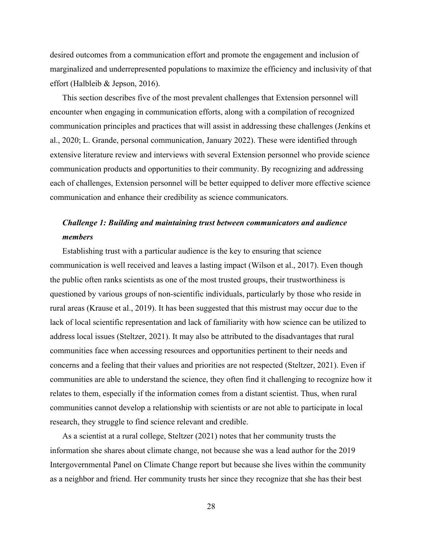desired outcomes from a communication effort and promote the engagement and inclusion of marginalized and underrepresented populations to maximize the efficiency and inclusivity of that effort (Halbleib & Jepson, 2016).

This section describes five of the most prevalent challenges that Extension personnel will encounter when engaging in communication efforts, along with a compilation of recognized communication principles and practices that will assist in addressing these challenges (Jenkins et al., 2020; L. Grande, personal communication, January 2022). These were identified through extensive literature review and interviews with several Extension personnel who provide science communication products and opportunities to their community. By recognizing and addressing each of challenges, Extension personnel will be better equipped to deliver more effective science communication and enhance their credibility as science communicators.

# *Challenge 1: Building and maintaining trust between communicators and audience members*

Establishing trust with a particular audience is the key to ensuring that science communication is well received and leaves a lasting impact (Wilson et al., 2017). Even though the public often ranks scientists as one of the most trusted groups, their trustworthiness is questioned by various groups of non-scientific individuals, particularly by those who reside in rural areas (Krause et al., 2019). It has been suggested that this mistrust may occur due to the lack of local scientific representation and lack of familiarity with how science can be utilized to address local issues (Steltzer, 2021). It may also be attributed to the disadvantages that rural communities face when accessing resources and opportunities pertinent to their needs and concerns and a feeling that their values and priorities are not respected (Steltzer, 2021). Even if communities are able to understand the science, they often find it challenging to recognize how it relates to them, especially if the information comes from a distant scientist. Thus, when rural communities cannot develop a relationship with scientists or are not able to participate in local research, they struggle to find science relevant and credible.

As a scientist at a rural college, Steltzer (2021) notes that her community trusts the information she shares about climate change, not because she was a lead author for the 2019 Intergovernmental Panel on Climate Change report but because she lives within the community as a neighbor and friend. Her community trusts her since they recognize that she has their best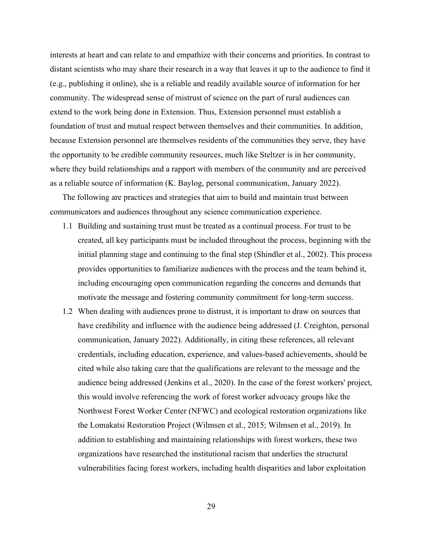interests at heart and can relate to and empathize with their concerns and priorities. In contrast to distant scientists who may share their research in a way that leaves it up to the audience to find it (e.g., publishing it online), she is a reliable and readily available source of information for her community. The widespread sense of mistrust of science on the part of rural audiences can extend to the work being done in Extension. Thus, Extension personnel must establish a foundation of trust and mutual respect between themselves and their communities. In addition, because Extension personnel are themselves residents of the communities they serve, they have the opportunity to be credible community resources, much like Steltzer is in her community, where they build relationships and a rapport with members of the community and are perceived as a reliable source of information (K. Baylog, personal communication, January 2022).

The following are practices and strategies that aim to build and maintain trust between communicators and audiences throughout any science communication experience.

- 1.1 Building and sustaining trust must be treated as a continual process. For trust to be created, all key participants must be included throughout the process, beginning with the initial planning stage and continuing to the final step (Shindler et al., 2002). This process provides opportunities to familiarize audiences with the process and the team behind it, including encouraging open communication regarding the concerns and demands that motivate the message and fostering community commitment for long-term success.
- 1.2 When dealing with audiences prone to distrust, it is important to draw on sources that have credibility and influence with the audience being addressed (J. Creighton, personal communication, January 2022). Additionally, in citing these references, all relevant credentials, including education, experience, and values-based achievements, should be cited while also taking care that the qualifications are relevant to the message and the audience being addressed (Jenkins et al., 2020). In the case of the forest workers' project, this would involve referencing the work of forest worker advocacy groups like the Northwest Forest Worker Center (NFWC) and ecological restoration organizations like the Lomakatsi Restoration Project (Wilmsen et al., 2015; Wilmsen et al., 2019). In addition to establishing and maintaining relationships with forest workers, these two organizations have researched the institutional racism that underlies the structural vulnerabilities facing forest workers, including health disparities and labor exploitation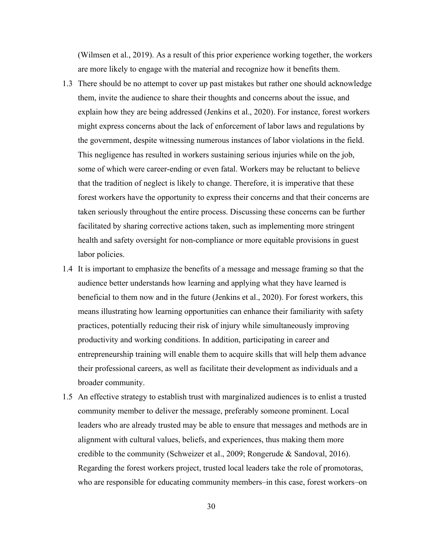(Wilmsen et al., 2019). As a result of this prior experience working together, the workers are more likely to engage with the material and recognize how it benefits them.

- 1.3 There should be no attempt to cover up past mistakes but rather one should acknowledge them, invite the audience to share their thoughts and concerns about the issue, and explain how they are being addressed (Jenkins et al., 2020). For instance, forest workers might express concerns about the lack of enforcement of labor laws and regulations by the government, despite witnessing numerous instances of labor violations in the field. This negligence has resulted in workers sustaining serious injuries while on the job, some of which were career-ending or even fatal. Workers may be reluctant to believe that the tradition of neglect is likely to change. Therefore, it is imperative that these forest workers have the opportunity to express their concerns and that their concerns are taken seriously throughout the entire process. Discussing these concerns can be further facilitated by sharing corrective actions taken, such as implementing more stringent health and safety oversight for non-compliance or more equitable provisions in guest labor policies.
- 1.4 It is important to emphasize the benefits of a message and message framing so that the audience better understands how learning and applying what they have learned is beneficial to them now and in the future (Jenkins et al., 2020). For forest workers, this means illustrating how learning opportunities can enhance their familiarity with safety practices, potentially reducing their risk of injury while simultaneously improving productivity and working conditions. In addition, participating in career and entrepreneurship training will enable them to acquire skills that will help them advance their professional careers, as well as facilitate their development as individuals and a broader community.
- 1.5 An effective strategy to establish trust with marginalized audiences is to enlist a trusted community member to deliver the message, preferably someone prominent. Local leaders who are already trusted may be able to ensure that messages and methods are in alignment with cultural values, beliefs, and experiences, thus making them more credible to the community (Schweizer et al., 2009; Rongerude & Sandoval, 2016). Regarding the forest workers project, trusted local leaders take the role of promotoras, who are responsible for educating community members–in this case, forest workers–on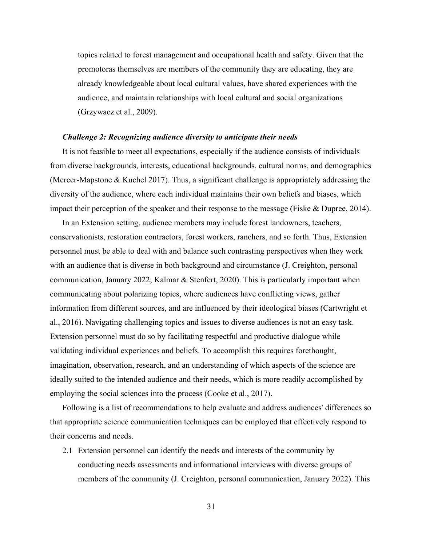topics related to forest management and occupational health and safety. Given that the promotoras themselves are members of the community they are educating, they are already knowledgeable about local cultural values, have shared experiences with the audience, and maintain relationships with local cultural and social organizations (Grzywacz et al., 2009).

### *Challenge 2: Recognizing audience diversity to anticipate their needs*

It is not feasible to meet all expectations, especially if the audience consists of individuals from diverse backgrounds, interests, educational backgrounds, cultural norms, and demographics (Mercer-Mapstone & Kuchel 2017). Thus, a significant challenge is appropriately addressing the diversity of the audience, where each individual maintains their own beliefs and biases, which impact their perception of the speaker and their response to the message (Fiske & Dupree, 2014).

In an Extension setting, audience members may include forest landowners, teachers, conservationists, restoration contractors, forest workers, ranchers, and so forth. Thus, Extension personnel must be able to deal with and balance such contrasting perspectives when they work with an audience that is diverse in both background and circumstance (J. Creighton, personal communication, January 2022; Kalmar & Stenfert, 2020). This is particularly important when communicating about polarizing topics, where audiences have conflicting views, gather information from different sources, and are influenced by their ideological biases (Cartwright et al., 2016). Navigating challenging topics and issues to diverse audiences is not an easy task. Extension personnel must do so by facilitating respectful and productive dialogue while validating individual experiences and beliefs. To accomplish this requires forethought, imagination, observation, research, and an understanding of which aspects of the science are ideally suited to the intended audience and their needs, which is more readily accomplished by employing the social sciences into the process (Cooke et al., 2017).

Following is a list of recommendations to help evaluate and address audiences' differences so that appropriate science communication techniques can be employed that effectively respond to their concerns and needs.

2.1 Extension personnel can identify the needs and interests of the community by conducting needs assessments and informational interviews with diverse groups of members of the community (J. Creighton, personal communication, January 2022). This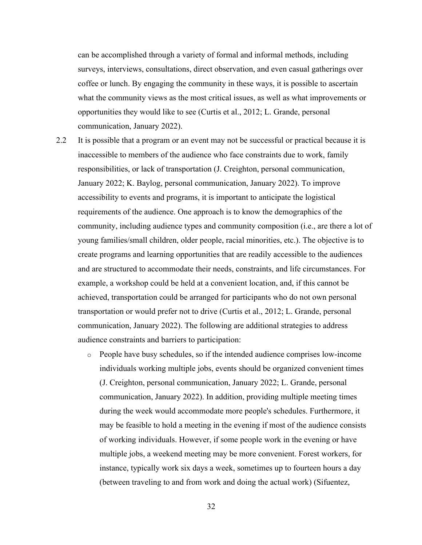can be accomplished through a variety of formal and informal methods, including surveys, interviews, consultations, direct observation, and even casual gatherings over coffee or lunch. By engaging the community in these ways, it is possible to ascertain what the community views as the most critical issues, as well as what improvements or opportunities they would like to see (Curtis et al., 2012; L. Grande, personal communication, January 2022).

- 2.2 It is possible that a program or an event may not be successful or practical because it is inaccessible to members of the audience who face constraints due to work, family responsibilities, or lack of transportation (J. Creighton, personal communication, January 2022; K. Baylog, personal communication, January 2022). To improve accessibility to events and programs, it is important to anticipate the logistical requirements of the audience. One approach is to know the demographics of the community, including audience types and community composition (i.e., are there a lot of young families/small children, older people, racial minorities, etc.). The objective is to create programs and learning opportunities that are readily accessible to the audiences and are structured to accommodate their needs, constraints, and life circumstances. For example, a workshop could be held at a convenient location, and, if this cannot be achieved, transportation could be arranged for participants who do not own personal transportation or would prefer not to drive (Curtis et al., 2012; L. Grande, personal communication, January 2022). The following are additional strategies to address audience constraints and barriers to participation:
	- o People have busy schedules, so if the intended audience comprises low-income individuals working multiple jobs, events should be organized convenient times (J. Creighton, personal communication, January 2022; L. Grande, personal communication, January 2022). In addition, providing multiple meeting times during the week would accommodate more people's schedules. Furthermore, it may be feasible to hold a meeting in the evening if most of the audience consists of working individuals. However, if some people work in the evening or have multiple jobs, a weekend meeting may be more convenient. Forest workers, for instance, typically work six days a week, sometimes up to fourteen hours a day (between traveling to and from work and doing the actual work) (Sifuentez,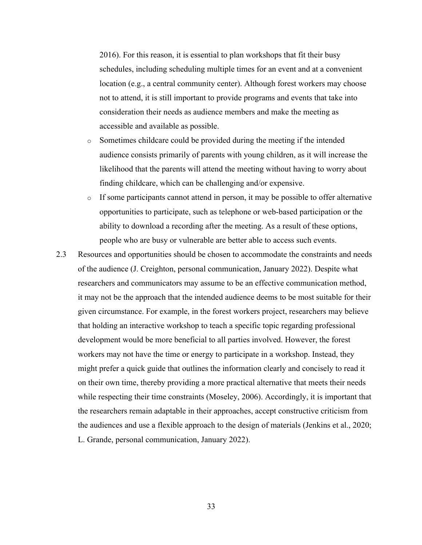2016). For this reason, it is essential to plan workshops that fit their busy schedules, including scheduling multiple times for an event and at a convenient location (e.g., a central community center). Although forest workers may choose not to attend, it is still important to provide programs and events that take into consideration their needs as audience members and make the meeting as accessible and available as possible.

- o Sometimes childcare could be provided during the meeting if the intended audience consists primarily of parents with young children, as it will increase the likelihood that the parents will attend the meeting without having to worry about finding childcare, which can be challenging and/or expensive.
- $\circ$  If some participants cannot attend in person, it may be possible to offer alternative opportunities to participate, such as telephone or web-based participation or the ability to download a recording after the meeting. As a result of these options, people who are busy or vulnerable are better able to access such events.
- 2.3 Resources and opportunities should be chosen to accommodate the constraints and needs of the audience (J. Creighton, personal communication, January 2022). Despite what researchers and communicators may assume to be an effective communication method, it may not be the approach that the intended audience deems to be most suitable for their given circumstance. For example, in the forest workers project, researchers may believe that holding an interactive workshop to teach a specific topic regarding professional development would be more beneficial to all parties involved. However, the forest workers may not have the time or energy to participate in a workshop. Instead, they might prefer a quick guide that outlines the information clearly and concisely to read it on their own time, thereby providing a more practical alternative that meets their needs while respecting their time constraints (Moseley, 2006). Accordingly, it is important that the researchers remain adaptable in their approaches, accept constructive criticism from the audiences and use a flexible approach to the design of materials (Jenkins et al., 2020; L. Grande, personal communication, January 2022).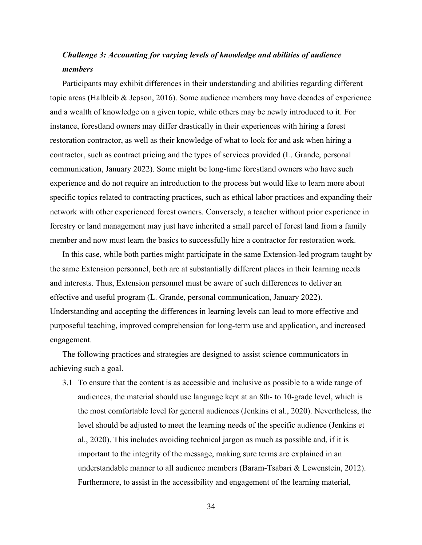# *Challenge 3: Accounting for varying levels of knowledge and abilities of audience members*

Participants may exhibit differences in their understanding and abilities regarding different topic areas (Halbleib & Jepson, 2016). Some audience members may have decades of experience and a wealth of knowledge on a given topic, while others may be newly introduced to it. For instance, forestland owners may differ drastically in their experiences with hiring a forest restoration contractor, as well as their knowledge of what to look for and ask when hiring a contractor, such as contract pricing and the types of services provided (L. Grande, personal communication, January 2022). Some might be long-time forestland owners who have such experience and do not require an introduction to the process but would like to learn more about specific topics related to contracting practices, such as ethical labor practices and expanding their network with other experienced forest owners. Conversely, a teacher without prior experience in forestry or land management may just have inherited a small parcel of forest land from a family member and now must learn the basics to successfully hire a contractor for restoration work.

In this case, while both parties might participate in the same Extension-led program taught by the same Extension personnel, both are at substantially different places in their learning needs and interests. Thus, Extension personnel must be aware of such differences to deliver an effective and useful program (L. Grande, personal communication, January 2022). Understanding and accepting the differences in learning levels can lead to more effective and purposeful teaching, improved comprehension for long-term use and application, and increased engagement.

The following practices and strategies are designed to assist science communicators in achieving such a goal.

3.1 To ensure that the content is as accessible and inclusive as possible to a wide range of audiences, the material should use language kept at an 8th- to 10-grade level, which is the most comfortable level for general audiences (Jenkins et al., 2020). Nevertheless, the level should be adjusted to meet the learning needs of the specific audience (Jenkins et al., 2020). This includes avoiding technical jargon as much as possible and, if it is important to the integrity of the message, making sure terms are explained in an understandable manner to all audience members (Baram-Tsabari & Lewenstein, 2012). Furthermore, to assist in the accessibility and engagement of the learning material,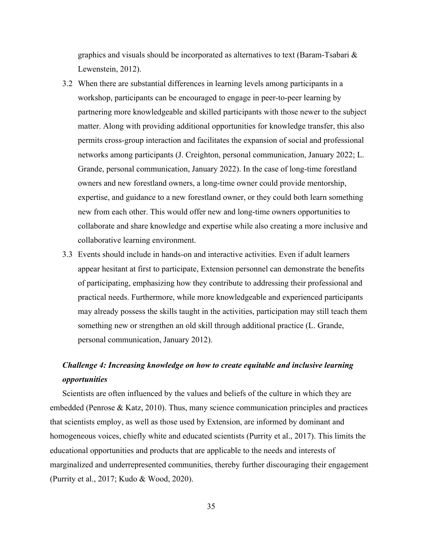graphics and visuals should be incorporated as alternatives to text (Baram-Tsabari & Lewenstein, 2012).

- 3.2 When there are substantial differences in learning levels among participants in a workshop, participants can be encouraged to engage in peer-to-peer learning by partnering more knowledgeable and skilled participants with those newer to the subject matter. Along with providing additional opportunities for knowledge transfer, this also permits cross-group interaction and facilitates the expansion of social and professional networks among participants (J. Creighton, personal communication, January 2022; L. Grande, personal communication, January 2022). In the case of long-time forestland owners and new forestland owners, a long-time owner could provide mentorship, expertise, and guidance to a new forestland owner, or they could both learn something new from each other. This would offer new and long-time owners opportunities to collaborate and share knowledge and expertise while also creating a more inclusive and collaborative learning environment.
- 3.3 Events should include in hands-on and interactive activities. Even if adult learners appear hesitant at first to participate, Extension personnel can demonstrate the benefits of participating, emphasizing how they contribute to addressing their professional and practical needs. Furthermore, while more knowledgeable and experienced participants may already possess the skills taught in the activities, participation may still teach them something new or strengthen an old skill through additional practice (L. Grande, personal communication, January 2012).

# *Challenge 4: Increasing knowledge on how to create equitable and inclusive learning opportunities*

Scientists are often influenced by the values and beliefs of the culture in which they are embedded (Penrose & Katz, 2010). Thus, many science communication principles and practices that scientists employ, as well as those used by Extension, are informed by dominant and homogeneous voices, chiefly white and educated scientists (Purrity et al., 2017). This limits the educational opportunities and products that are applicable to the needs and interests of marginalized and underrepresented communities, thereby further discouraging their engagement (Purrity et al., 2017; Kudo & Wood, 2020).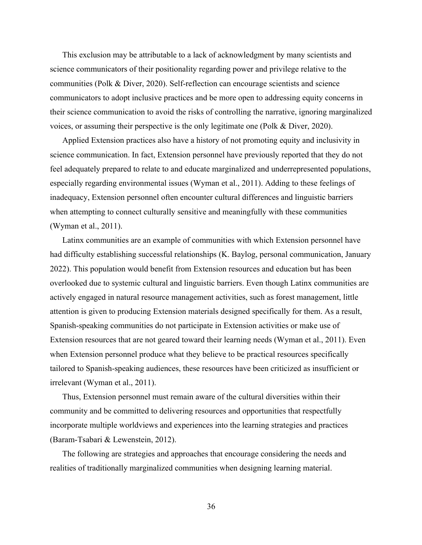This exclusion may be attributable to a lack of acknowledgment by many scientists and science communicators of their positionality regarding power and privilege relative to the communities (Polk & Diver, 2020). Self-reflection can encourage scientists and science communicators to adopt inclusive practices and be more open to addressing equity concerns in their science communication to avoid the risks of controlling the narrative, ignoring marginalized voices, or assuming their perspective is the only legitimate one (Polk & Diver, 2020).

Applied Extension practices also have a history of not promoting equity and inclusivity in science communication. In fact, Extension personnel have previously reported that they do not feel adequately prepared to relate to and educate marginalized and underrepresented populations, especially regarding environmental issues (Wyman et al., 2011). Adding to these feelings of inadequacy, Extension personnel often encounter cultural differences and linguistic barriers when attempting to connect culturally sensitive and meaningfully with these communities (Wyman et al., 2011).

Latinx communities are an example of communities with which Extension personnel have had difficulty establishing successful relationships (K. Baylog, personal communication, January 2022). This population would benefit from Extension resources and education but has been overlooked due to systemic cultural and linguistic barriers. Even though Latinx communities are actively engaged in natural resource management activities, such as forest management, little attention is given to producing Extension materials designed specifically for them. As a result, Spanish-speaking communities do not participate in Extension activities or make use of Extension resources that are not geared toward their learning needs (Wyman et al., 2011). Even when Extension personnel produce what they believe to be practical resources specifically tailored to Spanish-speaking audiences, these resources have been criticized as insufficient or irrelevant (Wyman et al., 2011).

Thus, Extension personnel must remain aware of the cultural diversities within their community and be committed to delivering resources and opportunities that respectfully incorporate multiple worldviews and experiences into the learning strategies and practices (Baram-Tsabari & Lewenstein, 2012).

The following are strategies and approaches that encourage considering the needs and realities of traditionally marginalized communities when designing learning material.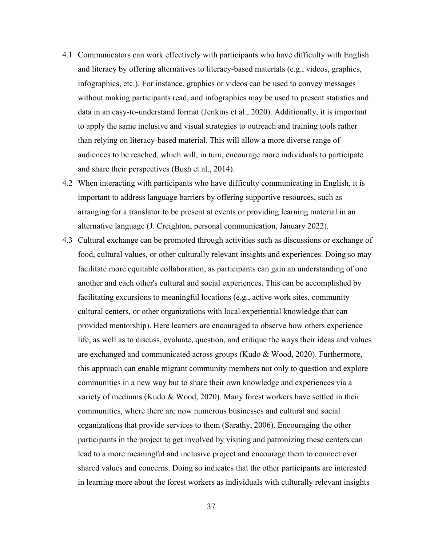- 4.1 Communicators can work effectively with participants who have difficulty with English and literacy by offering alternatives to literacy-based materials (e.g., videos, graphics, infographics, etc.). For instance, graphics or videos can be used to convey messages without making participants read, and infographics may be used to present statistics and data in an easy-to-understand format (Jenkins et al., 2020). Additionally, it is important to apply the same inclusive and visual strategies to outreach and training tools rather than relying on literacy-based material. This will allow a more diverse range of audiences to be reached, which will, in turn, encourage more individuals to participate and share their perspectives (Bush et al., 2014).
- 4.2 When interacting with participants who have difficulty communicating in English, it is important to address language barriers by offering supportive resources, such as arranging for a translator to be present at events or providing learning material in an alternative language (J. Creighton, personal communication, January 2022).
- 4.3 Cultural exchange can be promoted through activities such as discussions or exchange of food, cultural values, or other culturally relevant insights and experiences. Doing so may facilitate more equitable collaboration, as participants can gain an understanding of one another and each other's cultural and social experiences. This can be accomplished by facilitating excursions to meaningful locations (e.g., active work sites, community cultural centers, or other organizations with local experiential knowledge that can provided mentorship). Here learners are encouraged to observe how others experience life, as well as to discuss, evaluate, question, and critique the ways their ideas and values are exchanged and communicated across groups (Kudo & Wood, 2020). Furthermore, this approach can enable migrant community members not only to question and explore communities in a new way but to share their own knowledge and experiences via a variety of mediums (Kudo & Wood, 2020). Many forest workers have settled in their communities, where there are now numerous businesses and cultural and social organizations that provide services to them (Sarathy, 2006). Encouraging the other participants in the project to get involved by visiting and patronizing these centers can lead to a more meaningful and inclusive project and encourage them to connect over shared values and concerns. Doing so indicates that the other participants are interested in learning more about the forest workers as individuals with culturally relevant insights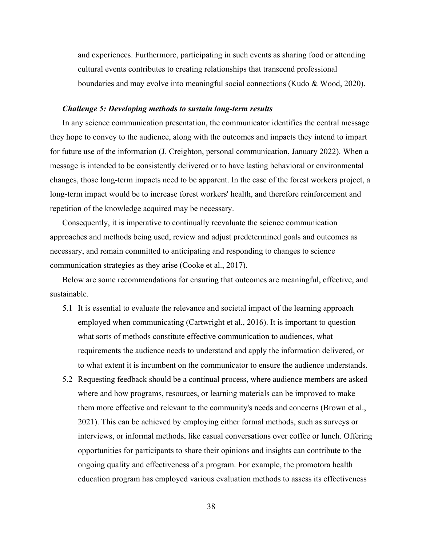and experiences. Furthermore, participating in such events as sharing food or attending cultural events contributes to creating relationships that transcend professional boundaries and may evolve into meaningful social connections (Kudo & Wood, 2020).

### *Challenge 5: Developing methods to sustain long-term results*

In any science communication presentation, the communicator identifies the central message they hope to convey to the audience, along with the outcomes and impacts they intend to impart for future use of the information (J. Creighton, personal communication, January 2022). When a message is intended to be consistently delivered or to have lasting behavioral or environmental changes, those long-term impacts need to be apparent. In the case of the forest workers project, a long-term impact would be to increase forest workers' health, and therefore reinforcement and repetition of the knowledge acquired may be necessary.

Consequently, it is imperative to continually reevaluate the science communication approaches and methods being used, review and adjust predetermined goals and outcomes as necessary, and remain committed to anticipating and responding to changes to science communication strategies as they arise (Cooke et al., 2017).

Below are some recommendations for ensuring that outcomes are meaningful, effective, and sustainable.

- 5.1 It is essential to evaluate the relevance and societal impact of the learning approach employed when communicating (Cartwright et al., 2016). It is important to question what sorts of methods constitute effective communication to audiences, what requirements the audience needs to understand and apply the information delivered, or to what extent it is incumbent on the communicator to ensure the audience understands.
- 5.2 Requesting feedback should be a continual process, where audience members are asked where and how programs, resources, or learning materials can be improved to make them more effective and relevant to the community's needs and concerns (Brown et al., 2021). This can be achieved by employing either formal methods, such as surveys or interviews, or informal methods, like casual conversations over coffee or lunch. Offering opportunities for participants to share their opinions and insights can contribute to the ongoing quality and effectiveness of a program. For example, the promotora health education program has employed various evaluation methods to assess its effectiveness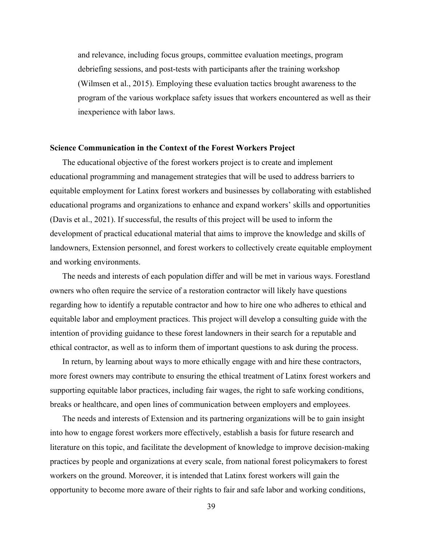and relevance, including focus groups, committee evaluation meetings, program debriefing sessions, and post-tests with participants after the training workshop (Wilmsen et al., 2015). Employing these evaluation tactics brought awareness to the program of the various workplace safety issues that workers encountered as well as their inexperience with labor laws.

### **Science Communication in the Context of the Forest Workers Project**

The educational objective of the forest workers project is to create and implement educational programming and management strategies that will be used to address barriers to equitable employment for Latinx forest workers and businesses by collaborating with established educational programs and organizations to enhance and expand workers' skills and opportunities (Davis et al., 2021). If successful, the results of this project will be used to inform the development of practical educational material that aims to improve the knowledge and skills of landowners, Extension personnel, and forest workers to collectively create equitable employment and working environments.

The needs and interests of each population differ and will be met in various ways. Forestland owners who often require the service of a restoration contractor will likely have questions regarding how to identify a reputable contractor and how to hire one who adheres to ethical and equitable labor and employment practices. This project will develop a consulting guide with the intention of providing guidance to these forest landowners in their search for a reputable and ethical contractor, as well as to inform them of important questions to ask during the process.

In return, by learning about ways to more ethically engage with and hire these contractors, more forest owners may contribute to ensuring the ethical treatment of Latinx forest workers and supporting equitable labor practices, including fair wages, the right to safe working conditions, breaks or healthcare, and open lines of communication between employers and employees.

The needs and interests of Extension and its partnering organizations will be to gain insight into how to engage forest workers more effectively, establish a basis for future research and literature on this topic, and facilitate the development of knowledge to improve decision-making practices by people and organizations at every scale, from national forest policymakers to forest workers on the ground. Moreover, it is intended that Latinx forest workers will gain the opportunity to become more aware of their rights to fair and safe labor and working conditions,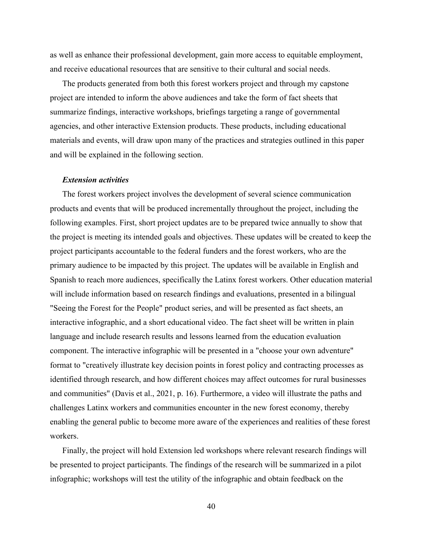as well as enhance their professional development, gain more access to equitable employment, and receive educational resources that are sensitive to their cultural and social needs.

The products generated from both this forest workers project and through my capstone project are intended to inform the above audiences and take the form of fact sheets that summarize findings, interactive workshops, briefings targeting a range of governmental agencies, and other interactive Extension products. These products, including educational materials and events, will draw upon many of the practices and strategies outlined in this paper and will be explained in the following section.

### *Extension activities*

The forest workers project involves the development of several science communication products and events that will be produced incrementally throughout the project, including the following examples. First, short project updates are to be prepared twice annually to show that the project is meeting its intended goals and objectives. These updates will be created to keep the project participants accountable to the federal funders and the forest workers, who are the primary audience to be impacted by this project. The updates will be available in English and Spanish to reach more audiences, specifically the Latinx forest workers. Other education material will include information based on research findings and evaluations, presented in a bilingual "Seeing the Forest for the People" product series, and will be presented as fact sheets, an interactive infographic, and a short educational video. The fact sheet will be written in plain language and include research results and lessons learned from the education evaluation component. The interactive infographic will be presented in a "choose your own adventure" format to "creatively illustrate key decision points in forest policy and contracting processes as identified through research, and how different choices may affect outcomes for rural businesses and communities" (Davis et al., 2021, p. 16). Furthermore, a video will illustrate the paths and challenges Latinx workers and communities encounter in the new forest economy, thereby enabling the general public to become more aware of the experiences and realities of these forest workers.

Finally, the project will hold Extension led workshops where relevant research findings will be presented to project participants. The findings of the research will be summarized in a pilot infographic; workshops will test the utility of the infographic and obtain feedback on the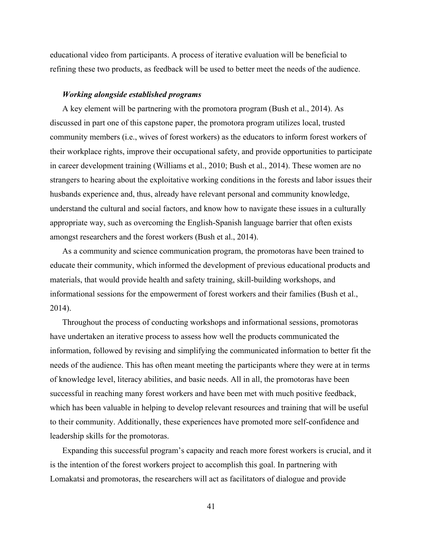educational video from participants. A process of iterative evaluation will be beneficial to refining these two products, as feedback will be used to better meet the needs of the audience.

# *Working alongside established programs*

A key element will be partnering with the promotora program (Bush et al., 2014). As discussed in part one of this capstone paper, the promotora program utilizes local, trusted community members (i.e., wives of forest workers) as the educators to inform forest workers of their workplace rights, improve their occupational safety, and provide opportunities to participate in career development training (Williams et al., 2010; Bush et al., 2014). These women are no strangers to hearing about the exploitative working conditions in the forests and labor issues their husbands experience and, thus, already have relevant personal and community knowledge, understand the cultural and social factors, and know how to navigate these issues in a culturally appropriate way, such as overcoming the English-Spanish language barrier that often exists amongst researchers and the forest workers (Bush et al., 2014).

As a community and science communication program, the promotoras have been trained to educate their community, which informed the development of previous educational products and materials, that would provide health and safety training, skill-building workshops, and informational sessions for the empowerment of forest workers and their families (Bush et al., 2014).

Throughout the process of conducting workshops and informational sessions, promotoras have undertaken an iterative process to assess how well the products communicated the information, followed by revising and simplifying the communicated information to better fit the needs of the audience. This has often meant meeting the participants where they were at in terms of knowledge level, literacy abilities, and basic needs. All in all, the promotoras have been successful in reaching many forest workers and have been met with much positive feedback, which has been valuable in helping to develop relevant resources and training that will be useful to their community. Additionally, these experiences have promoted more self-confidence and leadership skills for the promotoras.

Expanding this successful program's capacity and reach more forest workers is crucial, and it is the intention of the forest workers project to accomplish this goal. In partnering with Lomakatsi and promotoras, the researchers will act as facilitators of dialogue and provide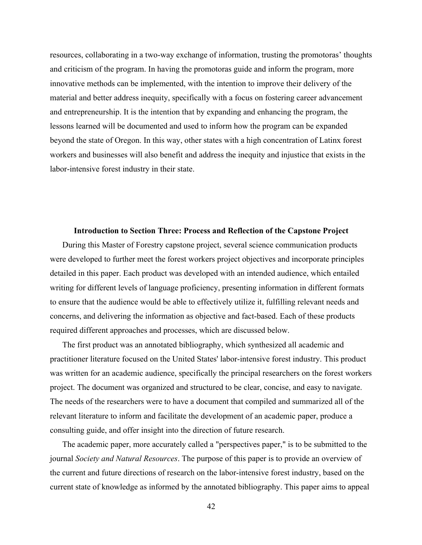resources, collaborating in a two-way exchange of information, trusting the promotoras' thoughts and criticism of the program. In having the promotoras guide and inform the program, more innovative methods can be implemented, with the intention to improve their delivery of the material and better address inequity, specifically with a focus on fostering career advancement and entrepreneurship. It is the intention that by expanding and enhancing the program, the lessons learned will be documented and used to inform how the program can be expanded beyond the state of Oregon. In this way, other states with a high concentration of Latinx forest workers and businesses will also benefit and address the inequity and injustice that exists in the labor-intensive forest industry in their state.

### **Introduction to Section Three: Process and Reflection of the Capstone Project**

During this Master of Forestry capstone project, several science communication products were developed to further meet the forest workers project objectives and incorporate principles detailed in this paper. Each product was developed with an intended audience, which entailed writing for different levels of language proficiency, presenting information in different formats to ensure that the audience would be able to effectively utilize it, fulfilling relevant needs and concerns, and delivering the information as objective and fact-based. Each of these products required different approaches and processes, which are discussed below.

The first product was an annotated bibliography, which synthesized all academic and practitioner literature focused on the United States' labor-intensive forest industry. This product was written for an academic audience, specifically the principal researchers on the forest workers project. The document was organized and structured to be clear, concise, and easy to navigate. The needs of the researchers were to have a document that compiled and summarized all of the relevant literature to inform and facilitate the development of an academic paper, produce a consulting guide, and offer insight into the direction of future research.

The academic paper, more accurately called a "perspectives paper," is to be submitted to the journal *Society and Natural Resources*. The purpose of this paper is to provide an overview of the current and future directions of research on the labor-intensive forest industry, based on the current state of knowledge as informed by the annotated bibliography. This paper aims to appeal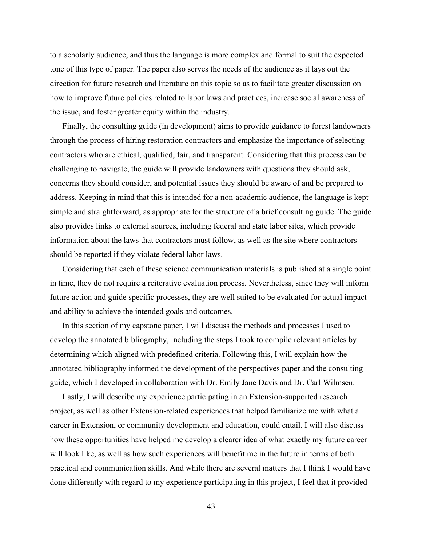to a scholarly audience, and thus the language is more complex and formal to suit the expected tone of this type of paper. The paper also serves the needs of the audience as it lays out the direction for future research and literature on this topic so as to facilitate greater discussion on how to improve future policies related to labor laws and practices, increase social awareness of the issue, and foster greater equity within the industry.

Finally, the consulting guide (in development) aims to provide guidance to forest landowners through the process of hiring restoration contractors and emphasize the importance of selecting contractors who are ethical, qualified, fair, and transparent. Considering that this process can be challenging to navigate, the guide will provide landowners with questions they should ask, concerns they should consider, and potential issues they should be aware of and be prepared to address. Keeping in mind that this is intended for a non-academic audience, the language is kept simple and straightforward, as appropriate for the structure of a brief consulting guide. The guide also provides links to external sources, including federal and state labor sites, which provide information about the laws that contractors must follow, as well as the site where contractors should be reported if they violate federal labor laws.

Considering that each of these science communication materials is published at a single point in time, they do not require a reiterative evaluation process. Nevertheless, since they will inform future action and guide specific processes, they are well suited to be evaluated for actual impact and ability to achieve the intended goals and outcomes.

In this section of my capstone paper, I will discuss the methods and processes I used to develop the annotated bibliography, including the steps I took to compile relevant articles by determining which aligned with predefined criteria. Following this, I will explain how the annotated bibliography informed the development of the perspectives paper and the consulting guide, which I developed in collaboration with Dr. Emily Jane Davis and Dr. Carl Wilmsen.

Lastly, I will describe my experience participating in an Extension-supported research project, as well as other Extension-related experiences that helped familiarize me with what a career in Extension, or community development and education, could entail. I will also discuss how these opportunities have helped me develop a clearer idea of what exactly my future career will look like, as well as how such experiences will benefit me in the future in terms of both practical and communication skills. And while there are several matters that I think I would have done differently with regard to my experience participating in this project, I feel that it provided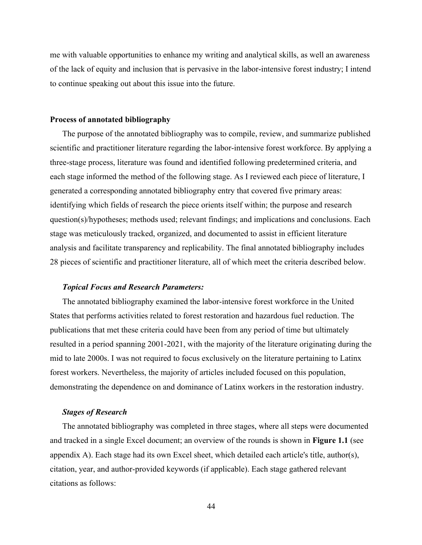me with valuable opportunities to enhance my writing and analytical skills, as well an awareness of the lack of equity and inclusion that is pervasive in the labor-intensive forest industry; I intend to continue speaking out about this issue into the future.

#### **Process of annotated bibliography**

The purpose of the annotated bibliography was to compile, review, and summarize published scientific and practitioner literature regarding the labor-intensive forest workforce. By applying a three-stage process, literature was found and identified following predetermined criteria, and each stage informed the method of the following stage. As I reviewed each piece of literature, I generated a corresponding annotated bibliography entry that covered five primary areas: identifying which fields of research the piece orients itself within; the purpose and research question(s)/hypotheses; methods used; relevant findings; and implications and conclusions. Each stage was meticulously tracked, organized, and documented to assist in efficient literature analysis and facilitate transparency and replicability. The final annotated bibliography includes 28 pieces of scientific and practitioner literature, all of which meet the criteria described below.

### *Topical Focus and Research Parameters:*

The annotated bibliography examined the labor-intensive forest workforce in the United States that performs activities related to forest restoration and hazardous fuel reduction. The publications that met these criteria could have been from any period of time but ultimately resulted in a period spanning 2001-2021, with the majority of the literature originating during the mid to late 2000s. I was not required to focus exclusively on the literature pertaining to Latinx forest workers. Nevertheless, the majority of articles included focused on this population, demonstrating the dependence on and dominance of Latinx workers in the restoration industry.

## *Stages of Research*

The annotated bibliography was completed in three stages, where all steps were documented and tracked in a single Excel document; an overview of the rounds is shown in **Figure 1.1** (see appendix A). Each stage had its own Excel sheet, which detailed each article's title, author(s), citation, year, and author-provided keywords (if applicable). Each stage gathered relevant citations as follows: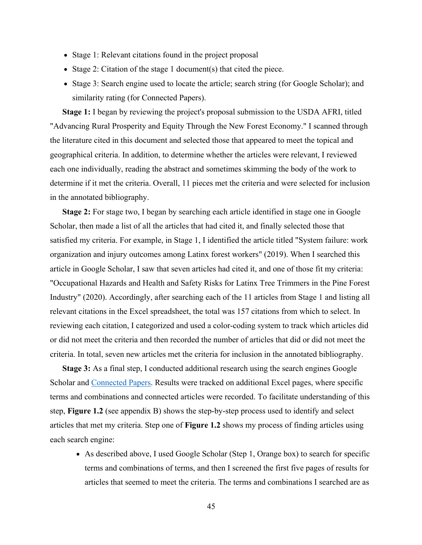- Stage 1: Relevant citations found in the project proposal
- Stage 2: Citation of the stage 1 document(s) that cited the piece.
- Stage 3: Search engine used to locate the article; search string (for Google Scholar); and similarity rating (for Connected Papers).

**Stage 1:** I began by reviewing the project's proposal submission to the USDA AFRI, titled "Advancing Rural Prosperity and Equity Through the New Forest Economy." I scanned through the literature cited in this document and selected those that appeared to meet the topical and geographical criteria. In addition, to determine whether the articles were relevant, I reviewed each one individually, reading the abstract and sometimes skimming the body of the work to determine if it met the criteria. Overall, 11 pieces met the criteria and were selected for inclusion in the annotated bibliography.

**Stage 2:** For stage two, I began by searching each article identified in stage one in Google Scholar, then made a list of all the articles that had cited it, and finally selected those that satisfied my criteria. For example, in Stage 1, I identified the article titled "System failure: work organization and injury outcomes among Latinx forest workers" (2019). When I searched this article in Google Scholar, I saw that seven articles had cited it, and one of those fit my criteria: "Occupational Hazards and Health and Safety Risks for Latinx Tree Trimmers in the Pine Forest Industry" (2020). Accordingly, after searching each of the 11 articles from Stage 1 and listing all relevant citations in the Excel spreadsheet, the total was 157 citations from which to select. In reviewing each citation, I categorized and used a color-coding system to track which articles did or did not meet the criteria and then recorded the number of articles that did or did not meet the criteria. In total, seven new articles met the criteria for inclusion in the annotated bibliography.

**Stage 3:** As a final step, I conducted additional research using the search engines Google Scholar and Connected Papers. Results were tracked on additional Excel pages, where specific terms and combinations and connected articles were recorded. To facilitate understanding of this step, **Figure 1.2** (see appendix B) shows the step-by-step process used to identify and select articles that met my criteria. Step one of **Figure 1.2** shows my process of finding articles using each search engine:

• As described above, I used Google Scholar (Step 1, Orange box) to search for specific terms and combinations of terms, and then I screened the first five pages of results for articles that seemed to meet the criteria. The terms and combinations I searched are as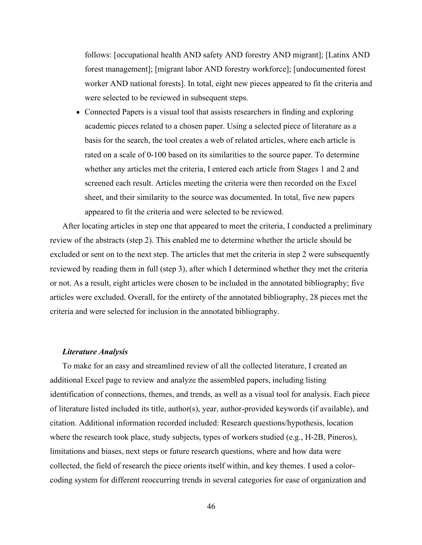follows: [occupational health AND safety AND forestry AND migrant]; [Latinx AND forest management]; [migrant labor AND forestry workforce]; [undocumented forest worker AND national forests]. In total, eight new pieces appeared to fit the criteria and were selected to be reviewed in subsequent steps.

• Connected Papers is a visual tool that assists researchers in finding and exploring academic pieces related to a chosen paper. Using a selected piece of literature as a basis for the search, the tool creates a web of related articles, where each article is rated on a scale of 0-100 based on its similarities to the source paper. To determine whether any articles met the criteria, I entered each article from Stages 1 and 2 and screened each result. Articles meeting the criteria were then recorded on the Excel sheet, and their similarity to the source was documented. In total, five new papers appeared to fit the criteria and were selected to be reviewed.

After locating articles in step one that appeared to meet the criteria, I conducted a preliminary review of the abstracts (step 2). This enabled me to determine whether the article should be excluded or sent on to the next step. The articles that met the criteria in step 2 were subsequently reviewed by reading them in full (step 3), after which I determined whether they met the criteria or not. As a result, eight articles were chosen to be included in the annotated bibliography; five articles were excluded. Overall, for the entirety of the annotated bibliography, 28 pieces met the criteria and were selected for inclusion in the annotated bibliography.

### *Literature Analysis*

To make for an easy and streamlined review of all the collected literature, I created an additional Excel page to review and analyze the assembled papers, including listing identification of connections, themes, and trends, as well as a visual tool for analysis. Each piece of literature listed included its title, author(s), year, author-provided keywords (if available), and citation. Additional information recorded included: Research questions/hypothesis, location where the research took place, study subjects, types of workers studied (e.g., H-2B, Pineros), limitations and biases, next steps or future research questions, where and how data were collected, the field of research the piece orients itself within, and key themes. I used a colorcoding system for different reoccurring trends in several categories for ease of organization and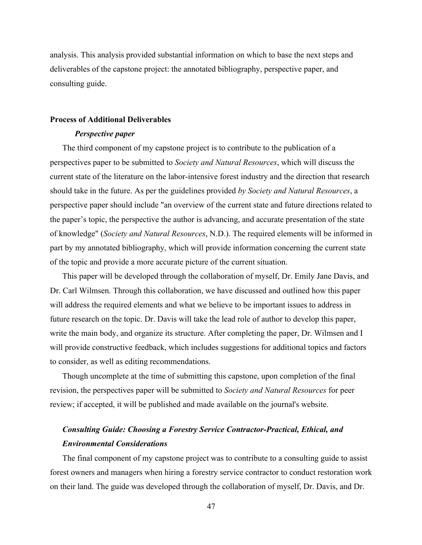analysis. This analysis provided substantial information on which to base the next steps and deliverables of the capstone project: the annotated bibliography, perspective paper, and consulting guide.

### **Process of Additional Deliverables**

### *Perspective paper*

The third component of my capstone project is to contribute to the publication of a perspectives paper to be submitted to *Society and Natural Resources*, which will discuss the current state of the literature on the labor-intensive forest industry and the direction that research should take in the future. As per the guidelines provided *by Society and Natural Resources*, a perspective paper should include "an overview of the current state and future directions related to the paper's topic, the perspective the author is advancing, and accurate presentation of the state of knowledge" (*Society and Natural Resources*, N.D.). The required elements will be informed in part by my annotated bibliography, which will provide information concerning the current state of the topic and provide a more accurate picture of the current situation.

This paper will be developed through the collaboration of myself, Dr. Emily Jane Davis, and Dr. Carl Wilmsen. Through this collaboration, we have discussed and outlined how this paper will address the required elements and what we believe to be important issues to address in future research on the topic. Dr. Davis will take the lead role of author to develop this paper, write the main body, and organize its structure. After completing the paper, Dr. Wilmsen and I will provide constructive feedback, which includes suggestions for additional topics and factors to consider, as well as editing recommendations.

Though uncomplete at the time of submitting this capstone, upon completion of the final revision, the perspectives paper will be submitted to *Society and Natural Resources* for peer review; if accepted, it will be published and made available on the journal's website.

# *Consulting Guide: Choosing a Forestry Service Contractor-Practical, Ethical, and Environmental Considerations*

The final component of my capstone project was to contribute to a consulting guide to assist forest owners and managers when hiring a forestry service contractor to conduct restoration work on their land. The guide was developed through the collaboration of myself, Dr. Davis, and Dr.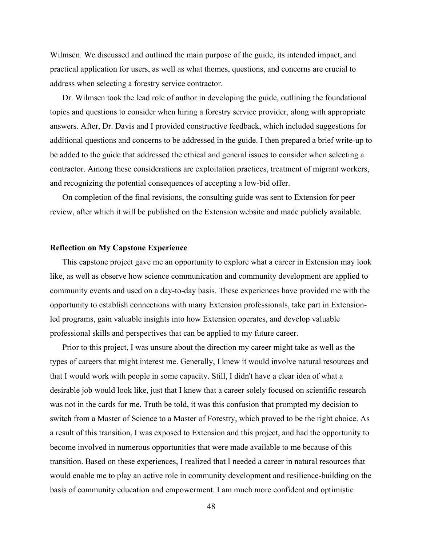Wilmsen. We discussed and outlined the main purpose of the guide, its intended impact, and practical application for users, as well as what themes, questions, and concerns are crucial to address when selecting a forestry service contractor.

Dr. Wilmsen took the lead role of author in developing the guide, outlining the foundational topics and questions to consider when hiring a forestry service provider, along with appropriate answers. After, Dr. Davis and I provided constructive feedback, which included suggestions for additional questions and concerns to be addressed in the guide. I then prepared a brief write-up to be added to the guide that addressed the ethical and general issues to consider when selecting a contractor. Among these considerations are exploitation practices, treatment of migrant workers, and recognizing the potential consequences of accepting a low-bid offer.

On completion of the final revisions, the consulting guide was sent to Extension for peer review, after which it will be published on the Extension website and made publicly available.

### **Reflection on My Capstone Experience**

This capstone project gave me an opportunity to explore what a career in Extension may look like, as well as observe how science communication and community development are applied to community events and used on a day-to-day basis. These experiences have provided me with the opportunity to establish connections with many Extension professionals, take part in Extensionled programs, gain valuable insights into how Extension operates, and develop valuable professional skills and perspectives that can be applied to my future career.

Prior to this project, I was unsure about the direction my career might take as well as the types of careers that might interest me. Generally, I knew it would involve natural resources and that I would work with people in some capacity. Still, I didn't have a clear idea of what a desirable job would look like, just that I knew that a career solely focused on scientific research was not in the cards for me. Truth be told, it was this confusion that prompted my decision to switch from a Master of Science to a Master of Forestry, which proved to be the right choice. As a result of this transition, I was exposed to Extension and this project, and had the opportunity to become involved in numerous opportunities that were made available to me because of this transition. Based on these experiences, I realized that I needed a career in natural resources that would enable me to play an active role in community development and resilience-building on the basis of community education and empowerment. I am much more confident and optimistic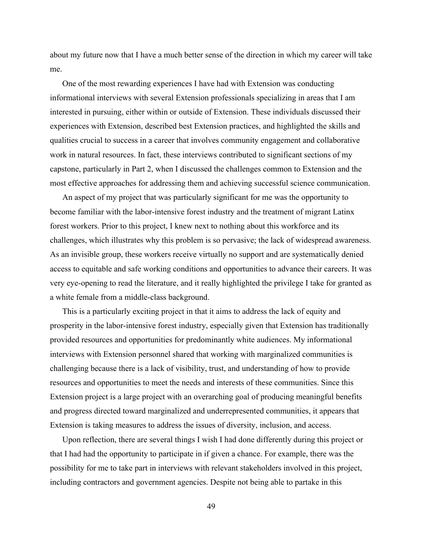about my future now that I have a much better sense of the direction in which my career will take me.

One of the most rewarding experiences I have had with Extension was conducting informational interviews with several Extension professionals specializing in areas that I am interested in pursuing, either within or outside of Extension. These individuals discussed their experiences with Extension, described best Extension practices, and highlighted the skills and qualities crucial to success in a career that involves community engagement and collaborative work in natural resources. In fact, these interviews contributed to significant sections of my capstone, particularly in Part 2, when I discussed the challenges common to Extension and the most effective approaches for addressing them and achieving successful science communication.

An aspect of my project that was particularly significant for me was the opportunity to become familiar with the labor-intensive forest industry and the treatment of migrant Latinx forest workers. Prior to this project, I knew next to nothing about this workforce and its challenges, which illustrates why this problem is so pervasive; the lack of widespread awareness. As an invisible group, these workers receive virtually no support and are systematically denied access to equitable and safe working conditions and opportunities to advance their careers. It was very eye-opening to read the literature, and it really highlighted the privilege I take for granted as a white female from a middle-class background.

This is a particularly exciting project in that it aims to address the lack of equity and prosperity in the labor-intensive forest industry, especially given that Extension has traditionally provided resources and opportunities for predominantly white audiences. My informational interviews with Extension personnel shared that working with marginalized communities is challenging because there is a lack of visibility, trust, and understanding of how to provide resources and opportunities to meet the needs and interests of these communities. Since this Extension project is a large project with an overarching goal of producing meaningful benefits and progress directed toward marginalized and underrepresented communities, it appears that Extension is taking measures to address the issues of diversity, inclusion, and access.

Upon reflection, there are several things I wish I had done differently during this project or that I had had the opportunity to participate in if given a chance. For example, there was the possibility for me to take part in interviews with relevant stakeholders involved in this project, including contractors and government agencies. Despite not being able to partake in this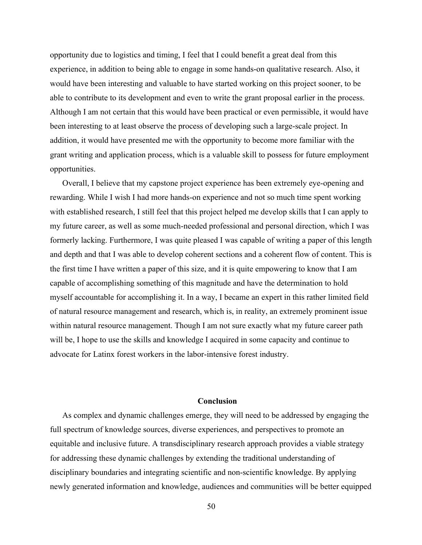opportunity due to logistics and timing, I feel that I could benefit a great deal from this experience, in addition to being able to engage in some hands-on qualitative research. Also, it would have been interesting and valuable to have started working on this project sooner, to be able to contribute to its development and even to write the grant proposal earlier in the process. Although I am not certain that this would have been practical or even permissible, it would have been interesting to at least observe the process of developing such a large-scale project. In addition, it would have presented me with the opportunity to become more familiar with the grant writing and application process, which is a valuable skill to possess for future employment opportunities.

Overall, I believe that my capstone project experience has been extremely eye-opening and rewarding. While I wish I had more hands-on experience and not so much time spent working with established research, I still feel that this project helped me develop skills that I can apply to my future career, as well as some much-needed professional and personal direction, which I was formerly lacking. Furthermore, I was quite pleased I was capable of writing a paper of this length and depth and that I was able to develop coherent sections and a coherent flow of content. This is the first time I have written a paper of this size, and it is quite empowering to know that I am capable of accomplishing something of this magnitude and have the determination to hold myself accountable for accomplishing it. In a way, I became an expert in this rather limited field of natural resource management and research, which is, in reality, an extremely prominent issue within natural resource management. Though I am not sure exactly what my future career path will be, I hope to use the skills and knowledge I acquired in some capacity and continue to advocate for Latinx forest workers in the labor-intensive forest industry.

# **Conclusion**

As complex and dynamic challenges emerge, they will need to be addressed by engaging the full spectrum of knowledge sources, diverse experiences, and perspectives to promote an equitable and inclusive future. A transdisciplinary research approach provides a viable strategy for addressing these dynamic challenges by extending the traditional understanding of disciplinary boundaries and integrating scientific and non-scientific knowledge. By applying newly generated information and knowledge, audiences and communities will be better equipped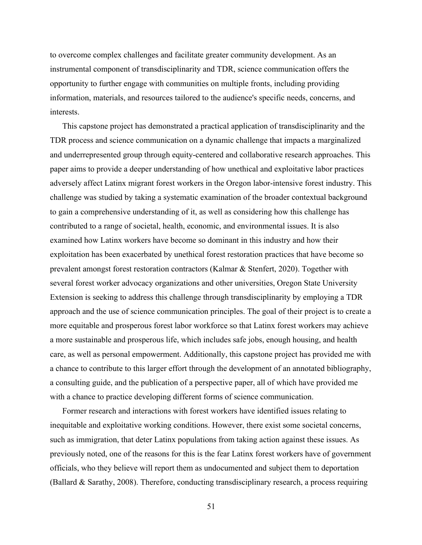to overcome complex challenges and facilitate greater community development. As an instrumental component of transdisciplinarity and TDR, science communication offers the opportunity to further engage with communities on multiple fronts, including providing information, materials, and resources tailored to the audience's specific needs, concerns, and interests.

This capstone project has demonstrated a practical application of transdisciplinarity and the TDR process and science communication on a dynamic challenge that impacts a marginalized and underrepresented group through equity-centered and collaborative research approaches. This paper aims to provide a deeper understanding of how unethical and exploitative labor practices adversely affect Latinx migrant forest workers in the Oregon labor-intensive forest industry. This challenge was studied by taking a systematic examination of the broader contextual background to gain a comprehensive understanding of it, as well as considering how this challenge has contributed to a range of societal, health, economic, and environmental issues. It is also examined how Latinx workers have become so dominant in this industry and how their exploitation has been exacerbated by unethical forest restoration practices that have become so prevalent amongst forest restoration contractors (Kalmar & Stenfert, 2020). Together with several forest worker advocacy organizations and other universities, Oregon State University Extension is seeking to address this challenge through transdisciplinarity by employing a TDR approach and the use of science communication principles. The goal of their project is to create a more equitable and prosperous forest labor workforce so that Latinx forest workers may achieve a more sustainable and prosperous life, which includes safe jobs, enough housing, and health care, as well as personal empowerment. Additionally, this capstone project has provided me with a chance to contribute to this larger effort through the development of an annotated bibliography, a consulting guide, and the publication of a perspective paper, all of which have provided me with a chance to practice developing different forms of science communication.

Former research and interactions with forest workers have identified issues relating to inequitable and exploitative working conditions. However, there exist some societal concerns, such as immigration, that deter Latinx populations from taking action against these issues. As previously noted, one of the reasons for this is the fear Latinx forest workers have of government officials, who they believe will report them as undocumented and subject them to deportation (Ballard & Sarathy, 2008). Therefore, conducting transdisciplinary research, a process requiring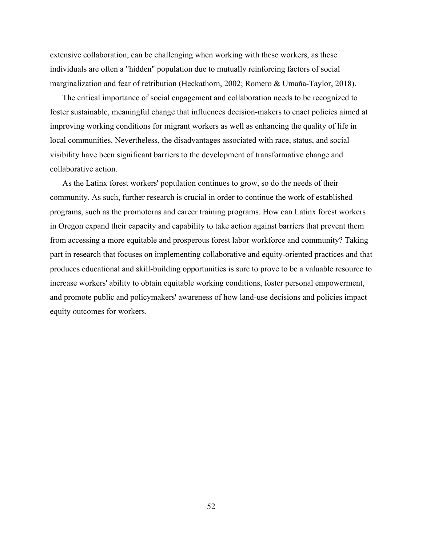extensive collaboration, can be challenging when working with these workers, as these individuals are often a "hidden" population due to mutually reinforcing factors of social marginalization and fear of retribution (Heckathorn, 2002; Romero & Umaña-Taylor, 2018).

The critical importance of social engagement and collaboration needs to be recognized to foster sustainable, meaningful change that influences decision-makers to enact policies aimed at improving working conditions for migrant workers as well as enhancing the quality of life in local communities. Nevertheless, the disadvantages associated with race, status, and social visibility have been significant barriers to the development of transformative change and collaborative action.

As the Latinx forest workers' population continues to grow, so do the needs of their community. As such, further research is crucial in order to continue the work of established programs, such as the promotoras and career training programs. How can Latinx forest workers in Oregon expand their capacity and capability to take action against barriers that prevent them from accessing a more equitable and prosperous forest labor workforce and community? Taking part in research that focuses on implementing collaborative and equity-oriented practices and that produces educational and skill-building opportunities is sure to prove to be a valuable resource to increase workers' ability to obtain equitable working conditions, foster personal empowerment, and promote public and policymakers' awareness of how land-use decisions and policies impact equity outcomes for workers.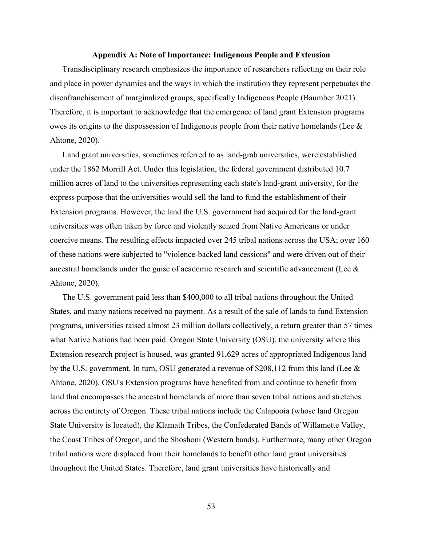### **Appendix A: Note of Importance: Indigenous People and Extension**

Transdisciplinary research emphasizes the importance of researchers reflecting on their role and place in power dynamics and the ways in which the institution they represent perpetuates the disenfranchisement of marginalized groups, specifically Indigenous People (Baumber 2021). Therefore, it is important to acknowledge that the emergence of land grant Extension programs owes its origins to the dispossession of Indigenous people from their native homelands (Lee & Ahtone, 2020).

Land grant universities, sometimes referred to as land-grab universities, were established under the 1862 Morrill Act. Under this legislation, the federal government distributed 10.7 million acres of land to the universities representing each state's land-grant university, for the express purpose that the universities would sell the land to fund the establishment of their Extension programs. However, the land the U.S. government had acquired for the land-grant universities was often taken by force and violently seized from Native Americans or under coercive means. The resulting effects impacted over 245 tribal nations across the USA; over 160 of these nations were subjected to "violence-backed land cessions" and were driven out of their ancestral homelands under the guise of academic research and scientific advancement (Lee & Ahtone, 2020).

The U.S. government paid less than \$400,000 to all tribal nations throughout the United States, and many nations received no payment. As a result of the sale of lands to fund Extension programs, universities raised almost 23 million dollars collectively, a return greater than 57 times what Native Nations had been paid. Oregon State University (OSU), the university where this Extension research project is housed, was granted 91,629 acres of appropriated Indigenous land by the U.S. government. In turn, OSU generated a revenue of  $$208,112$  from this land (Lee  $&$ Ahtone, 2020). OSU's Extension programs have benefited from and continue to benefit from land that encompasses the ancestral homelands of more than seven tribal nations and stretches across the entirety of Oregon. These tribal nations include the Calapooia (whose land Oregon State University is located), the Klamath Tribes, the Confederated Bands of Willamette Valley, the Coast Tribes of Oregon, and the Shoshoni (Western bands). Furthermore, many other Oregon tribal nations were displaced from their homelands to benefit other land grant universities throughout the United States. Therefore, land grant universities have historically and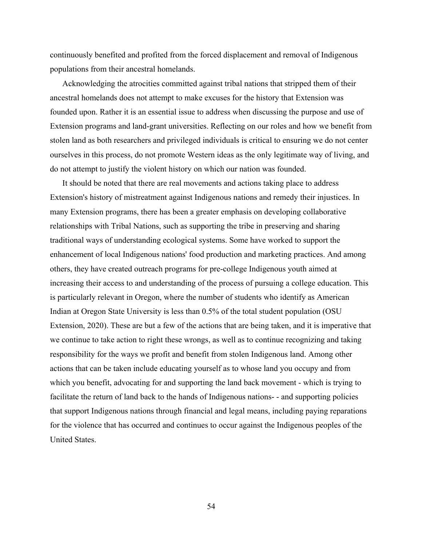continuously benefited and profited from the forced displacement and removal of Indigenous populations from their ancestral homelands.

Acknowledging the atrocities committed against tribal nations that stripped them of their ancestral homelands does not attempt to make excuses for the history that Extension was founded upon. Rather it is an essential issue to address when discussing the purpose and use of Extension programs and land-grant universities. Reflecting on our roles and how we benefit from stolen land as both researchers and privileged individuals is critical to ensuring we do not center ourselves in this process, do not promote Western ideas as the only legitimate way of living, and do not attempt to justify the violent history on which our nation was founded.

It should be noted that there are real movements and actions taking place to address Extension's history of mistreatment against Indigenous nations and remedy their injustices. In many Extension programs, there has been a greater emphasis on developing collaborative relationships with Tribal Nations, such as supporting the tribe in preserving and sharing traditional ways of understanding ecological systems. Some have worked to support the enhancement of local Indigenous nations' food production and marketing practices. And among others, they have created outreach programs for pre-college Indigenous youth aimed at increasing their access to and understanding of the process of pursuing a college education. This is particularly relevant in Oregon, where the number of students who identify as American Indian at Oregon State University is less than 0.5% of the total student population (OSU Extension, 2020). These are but a few of the actions that are being taken, and it is imperative that we continue to take action to right these wrongs, as well as to continue recognizing and taking responsibility for the ways we profit and benefit from stolen Indigenous land. Among other actions that can be taken include educating yourself as to whose land you occupy and from which you benefit, advocating for and supporting the land back movement - which is trying to facilitate the return of land back to the hands of Indigenous nations- - and supporting policies that support Indigenous nations through financial and legal means, including paying reparations for the violence that has occurred and continues to occur against the Indigenous peoples of the United States.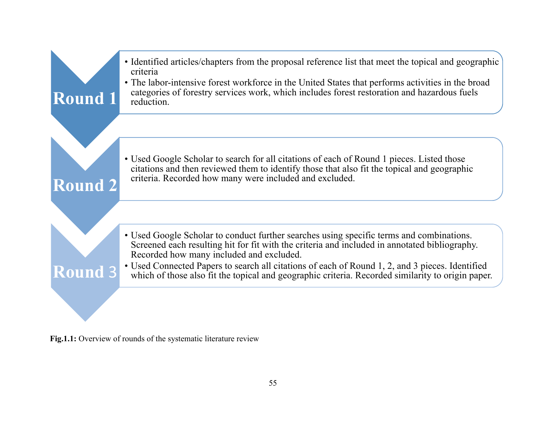

**Fig.1.1:** Overview of rounds of the systematic literature review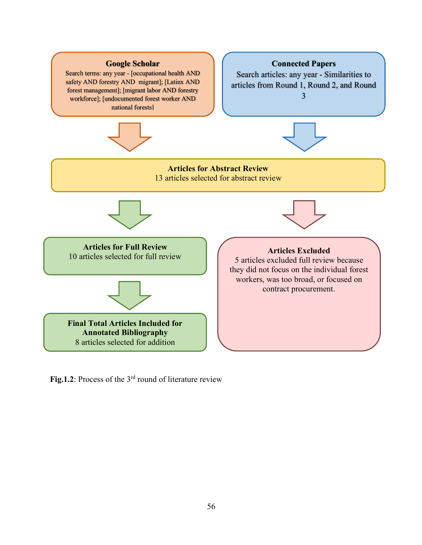

Fig.1.2: Process of the 3<sup>rd</sup> round of literature review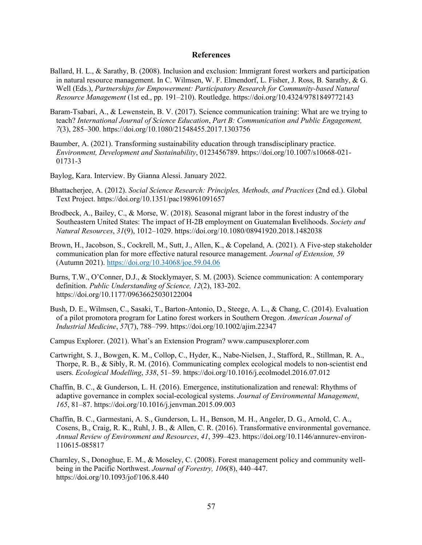### **References**

- Ballard, H. L., & Sarathy, B. (2008). Inclusion and exclusion: Immigrant forest workers and participation in natural resource management. In C. Wilmsen, W. F. Elmendorf, L. Fisher, J. Ross, B. Sarathy, & G. Well (Eds.), *Partnerships for Empowerment: Participatory Research for Community-based Natural Resource Management* (1st ed., pp. 191–210). Routledge. https://doi.org/10.4324/9781849772143
- Baram-Tsabari, A., & Lewenstein, B. V. (2017). Science communication training: What are we trying to teach? *International Journal of Science Education*, *Part B: Communication and Public Engagement, 7*(3), 285–300. https://doi.org/10.1080/21548455.2017.1303756
- Baumber, A. (2021). Transforming sustainability education through transdisciplinary practice. *Environment, Development and Sustainability*, 0123456789. https://doi.org/10.1007/s10668-021- 01731-3
- Baylog, Kara. Interview. By Gianna Alessi. January 2022.
- Bhattacherjee, A. (2012). *Social Science Research: Principles, Methods, and Practices* (2nd ed.). Global Text Project. https://doi.org/10.1351/pac198961091657
- Brodbeck, A., Bailey, C., & Morse, W. (2018). Seasonal migrant labor in the forest industry of the Southeastern United States: The impact of H-2B employment on Guatemalan **l**ivelihoods. *Society and Natural Resources*, *31*(9), 1012–1029. https://doi.org/10.1080/08941920.2018.1482038
- Brown, H., Jacobson, S., Cockrell, M., Sutt, J., Allen, K., & Copeland, A. (2021). A Five-step stakeholder communication plan for more effective natural resource management. *Journal of Extension, 59*  (Autumn 2021). https://doi.org/10.34068/joe.59.04.06
- Burns, T.W., O'Conner, D.J., & Stocklymayer, S. M. (2003). Science communication: A contemporary definition. *Public Understanding of Science, 12*(2), 183-202. https://doi.org/10.1177/09636625030122004
- Bush, D. E., Wilmsen, C., Sasaki, T., Barton-Antonio, D., Steege, A. L., & Chang, C. (2014). Evaluation of a pilot promotora program for Latino forest workers in Southern Oregon. *American Journal of Industrial Medicine*, *57*(7), 788–799. https://doi.org/10.1002/ajim.22347
- Campus Explorer. (2021). What's an Extension Program? www.campusexplorer.com
- Cartwright, S. J., Bowgen, K. M., Collop, C., Hyder, K., Nabe-Nielsen, J., Stafford, R., Stillman, R. A., Thorpe, R. B., & Sibly, R. M. (2016). Communicating complex ecological models to non-scientist end users. *Ecological Modelling*, *338*, 51–59. https://doi.org/10.1016/j.ecolmodel.2016.07.012
- Chaffin, B. C., & Gunderson, L. H. (2016). Emergence, institutionalization and renewal: Rhythms of adaptive governance in complex social-ecological systems. *Journal of Environmental Management*, *165*, 81–87. https://doi.org/10.1016/j.jenvman.2015.09.003
- Chaffin, B. C., Garmestani, A. S., Gunderson, L. H., Benson, M. H., Angeler, D. G., Arnold, C. A., Cosens, B., Craig, R. K., Ruhl, J. B., & Allen, C. R. (2016). Transformative environmental governance. *Annual Review of Environment and Resources*, *41*, 399–423. https://doi.org/10.1146/annurev-environ-110615-085817
- Charnley, S., Donoghue, E. M., & Moseley, C. (2008). Forest management policy and community wellbeing in the Pacific Northwest. *Journal of Forestry, 106*(8), 440–447. https://doi.org/10.1093/jof/106.8.440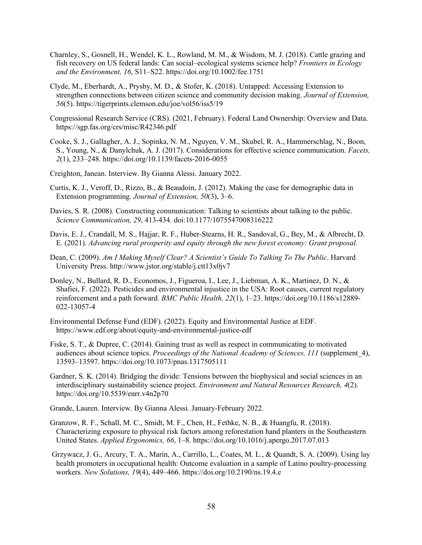- Charnley, S., Gosnell, H., Wendel, K. L., Rowland, M. M., & Wisdom, M. J. (2018). Cattle grazing and fish recovery on US federal lands: Can social–ecological systems science help? *Frontiers in Ecology and the Environment, 16*, S11–S22. https://doi.org/10.1002/fee.1751
- Clyde, M., Eberhardt, A., Prysby, M. D., & Stofer, K. (2018). Untapped: Accessing Extension to strengthen connections between citizen science and community decision making. *Journal of Extension, 56*(5). https://tigerprints.clemson.edu/joe/vol56/iss5/19
- Congressional Research Service (CRS). (2021, February). Federal Land Ownership: Overview and Data. https://sgp.fas.org/crs/misc/R42346.pdf
- Cooke, S. J., Gallagher, A. J., Sopinka, N. M., Nguyen, V. M., Skubel, R. A., Hammerschlag, N., Boon, S., Young, N., & Danylchuk, A. J. (2017). Considerations for effective science communication. *Facets, 2*(1), 233–248. https://doi.org/10.1139/facets-2016-0055
- Creighton, Janean. Interview. By Gianna Alessi. January 2022.
- Curtis, K. J., Veroff, D., Rizzo, B., & Beaudoin, J. (2012). Making the case for demographic data in Extension programming. *Journal of Extension, 50*(3), 3–6.
- Davies, S. R. (2008). Constructing communication: Talking to scientists about talking to the public. *Science Communication, 29*, 413-434. doi:10.1177/1075547008316222
- Davis, E. J., Crandall, M. S., Hajjar, R. F., Huber-Stearns, H. R., Sandoval, G., Bey, M., & Albrecht, D. E. (2021). *Advancing rural prosperity and equity through the new forest economy: Grant proposal.*
- Dean, C. (2009). *Am I Making Myself Clear? A Scientist's Guide To Talking To The Public*. Harvard University Press. http://www.jstor.org/stable/j.ctt13x0jv7
- Donley, N., Bullard, R. D., Economos, J., Figueroa, I., Lee, J., Liebman, A. K., Martinez, D. N., & Shafiei, F. (2022). Pesticides and environmental injustice in the USA: Root causes, current regulatory reinforcement and a path forward. *BMC Public Health, 22*(1), 1–23. https://doi.org/10.1186/s12889- 022-13057-4
- Environmental Defense Fund (EDF). (2022). Equity and Environmental Justice at EDF. https://www.edf.org/about/equity-and-environmental-justice-edf
- Fiske, S. T., & Dupree, C. (2014). Gaining trust as well as respect in communicating to motivated audiences about science topics. *Proceedings of the National Academy of Sciences, 111* (supplement\_4), 13593–13597. https://doi.org/10.1073/pnas.1317505111
- Gardner, S. K. (2014). Bridging the divide: Tensions between the biophysical and social sciences in an interdisciplinary sustainability science project. *Environment and Natural Resources Research, 4*(2). https://doi.org/10.5539/enrr.v4n2p70

Grande, Lauren. Interview. By Gianna Alessi. January-February 2022.

- Granzow, R. F., Schall, M. C., Smidt, M. F., Chen, H., Fethke, N. B., & Huangfu, R. (2018). Characterizing exposure to physical risk factors among reforestation hand planters in the Southeastern United States. *Applied Ergonomics, 66*, 1–8. https://doi.org/10.1016/j.apergo.2017.07.013
- Grzywacz, J. G., Arcury, T. A., Marín, A., Carrillo, L., Coates, M. L., & Quandt, S. A. (2009). Using lay health promoters in occupational health: Outcome evaluation in a sample of Latino poultry-processing workers. *New Solutions, 19*(4), 449–466. https://doi.org/10.2190/ns.19.4.e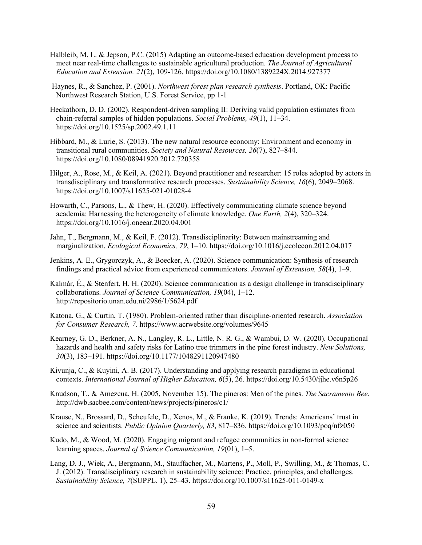- Halbleib, M. L. & Jepson, P.C. (2015) Adapting an outcome-based education development process to meet near real-time challenges to sustainable agricultural production. *The Journal of Agricultural Education and Extension. 21*(2), 109-126. https://doi.org/10.1080/1389224X.2014.927377
- Haynes, R., & Sanchez, P. (2001). *Northwest forest plan research synthesis*. Portland, OK: Pacific Northwest Research Station, U.S. Forest Service, pp 1-1
- Heckathorn, D. D. (2002). Respondent-driven sampling II: Deriving valid population estimates from chain-referral samples of hidden populations. *Social Problems, 49*(1), 11–34. https://doi.org/10.1525/sp.2002.49.1.11
- Hibbard, M., & Lurie, S. (2013). The new natural resource economy: Environment and economy in transitional rural communities. *Society and Natural Resources, 26*(7), 827–844. https://doi.org/10.1080/08941920.2012.720358
- Hilger, A., Rose, M., & Keil, A. (2021). Beyond practitioner and researcher: 15 roles adopted by actors in transdisciplinary and transformative research processes. *Sustainability Science, 16*(6), 2049–2068. https://doi.org/10.1007/s11625-021-01028-4
- Howarth, C., Parsons, L., & Thew, H. (2020). Effectively communicating climate science beyond academia: Harnessing the heterogeneity of climate knowledge. *One Earth, 2*(4), 320–324. https://doi.org/10.1016/j.oneear.2020.04.001
- Jahn, T., Bergmann, M., & Keil, F. (2012). Transdisciplinarity: Between mainstreaming and marginalization. *Ecological Economics, 79*, 1–10. https://doi.org/10.1016/j.ecolecon.2012.04.017
- Jenkins, A. E., Grygorczyk, A., & Boecker, A. (2020). Science communication: Synthesis of research findings and practical advice from experienced communicators. *Journal of Extension, 58*(4), 1–9.
- Kalmár, É., & Stenfert, H. H. (2020). Science communication as a design challenge in transdisciplinary collaborations. *Journal of Science Communication, 19*(04), 1–12. http://repositorio.unan.edu.ni/2986/1/5624.pdf
- Katona, G., & Curtin, T. (1980). Problem-oriented rather than discipline-oriented research. *Association for Consumer Research, 7*. https://www.acrwebsite.org/volumes/9645
- Kearney, G. D., Berkner, A. N., Langley, R. L., Little, N. R. G., & Wambui, D. W. (2020). Occupational hazards and health and safety risks for Latino tree trimmers in the pine forest industry. *New Solutions, 30*(3), 183–191. https://doi.org/10.1177/1048291120947480
- Kivunja, C., & Kuyini, A. B. (2017). Understanding and applying research paradigms in educational contexts. *International Journal of Higher Education, 6*(5), 26. https://doi.org/10.5430/ijhe.v6n5p26
- Knudson, T., & Amezcua, H. (2005, November 15). The pineros: Men of the pines. *The Sacramento Bee*. http://dwb.sacbee.com/content/news/projects/pineros/c1/
- Krause, N., Brossard, D., Scheufele, D., Xenos, M., & Franke, K. (2019). Trends: Americans' trust in science and scientists. *Public Opinion Quarterly, 83*, 817–836. https://doi.org/10.1093/poq/nfz050
- Kudo, M., & Wood, M. (2020). Engaging migrant and refugee communities in non-formal science learning spaces. *Journal of Science Communication, 19*(01), 1–5.
- Lang, D. J., Wiek, A., Bergmann, M., Stauffacher, M., Martens, P., Moll, P., Swilling, M., & Thomas, C. J. (2012). Transdisciplinary research in sustainability science: Practice, principles, and challenges. *Sustainability Science, 7*(SUPPL. 1), 25–43. https://doi.org/10.1007/s11625-011-0149-x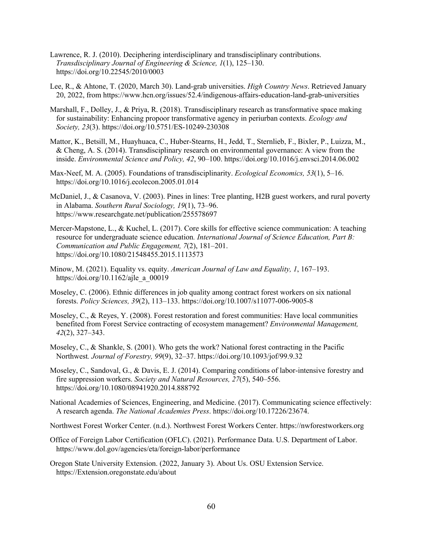- Lawrence, R. J. (2010). Deciphering interdisciplinary and transdisciplinary contributions. *Transdisciplinary Journal of Engineering & Science, 1*(1), 125–130. https://doi.org/10.22545/2010/0003
- Lee, R., & Ahtone, T. (2020, March 30). Land-grab universities. *High Country News*. Retrieved January 20, 2022, from https://www.hcn.org/issues/52.4/indigenous-affairs-education-land-grab-universities
- Marshall, F., Dolley, J., & Priya, R. (2018). Transdisciplinary research as transformative space making for sustainability: Enhancing propoor transformative agency in periurban contexts. *Ecology and Society, 23*(3). https://doi.org/10.5751/ES-10249-230308
- Mattor, K., Betsill, M., Huayhuaca, C., Huber-Stearns, H., Jedd, T., Sternlieb, F., Bixler, P., Luizza, M., & Cheng, A. S. (2014). Transdisciplinary research on environmental governance: A view from the inside. *Environmental Science and Policy, 42*, 90–100. https://doi.org/10.1016/j.envsci.2014.06.002
- Max-Neef, M. A. (2005). Foundations of transdisciplinarity. *Ecological Economics, 53*(1), 5–16. https://doi.org/10.1016/j.ecolecon.2005.01.014
- McDaniel, J., & Casanova, V. (2003). Pines in lines: Tree planting, H2B guest workers, and rural poverty in Alabama. *Southern Rural Sociology, 19*(1), 73–96. https://www.researchgate.net/publication/255578697
- Mercer-Mapstone, L., & Kuchel, L. (2017). Core skills for effective science communication: A teaching resource for undergraduate science education*. International Journal of Science Education, Part B: Communication and Public Engagement, 7*(2), 181–201. https://doi.org/10.1080/21548455.2015.1113573
- Minow, M. (2021). Equality vs. equity. *American Journal of Law and Equality, 1*, 167–193. https://doi.org/10.1162/ajle\_a\_00019
- Moseley, C. (2006). Ethnic differences in job quality among contract forest workers on six national forests. *Policy Sciences, 39*(2), 113–133. https://doi.org/10.1007/s11077-006-9005-8
- Moseley, C., & Reyes, Y. (2008). Forest restoration and forest communities: Have local communities benefited from Forest Service contracting of ecosystem management? *Environmental Management, 42*(2), 327–343.
- Moseley, C., & Shankle, S. (2001). Who gets the work? National forest contracting in the Pacific Northwest*. Journal of Forestry, 99*(9), 32–37. https://doi.org/10.1093/jof/99.9.32
- Moseley, C., Sandoval, G., & Davis, E. J. (2014). Comparing conditions of labor-intensive forestry and fire suppression workers. *Society and Natural Resources, 27*(5), 540–556. https://doi.org/10.1080/08941920.2014.888792
- National Academies of Sciences, Engineering, and Medicine. (2017). Communicating science effectively: A research agenda. *The National Academies Press*. https://doi.org/10.17226/23674.
- Northwest Forest Worker Center. (n.d.). Northwest Forest Workers Center. https://nwforestworkers.org
- Office of Foreign Labor Certification (OFLC). (2021). Performance Data. U.S. Department of Labor. https://www.dol.gov/agencies/eta/foreign-labor/performance
- Oregon State University Extension. (2022, January 3). About Us. OSU Extension Service. https://Extension.oregonstate.edu/about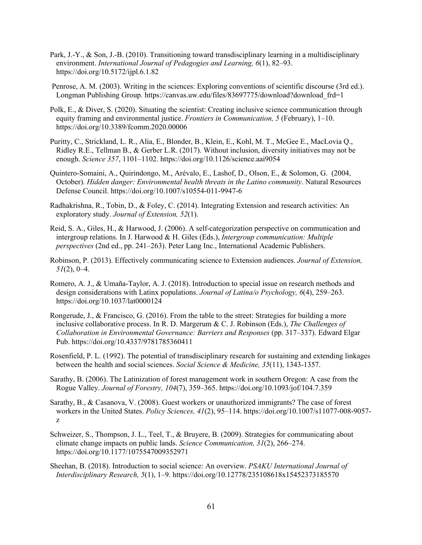- Park, J.-Y., & Son, J.-B. (2010). Transitioning toward transdisciplinary learning in a multidisciplinary environment. *International Journal of Pedagogies and Learning, 6*(1), 82–93. https://doi.org/10.5172/ijpl.6.1.82
- Penrose, A. M. (2003). Writing in the sciences: Exploring conventions of scientific discourse (3rd ed.). Longman Publishing Group. https://canvas.uw.edu/files/83697775/download?download\_frd=1
- Polk, E., & Diver, S. (2020). Situating the scientist: Creating inclusive science communication through equity framing and environmental justice. *Frontiers in Communication, 5* (February), 1–10. https://doi.org/10.3389/fcomm.2020.00006
- Puritty, C., Strickland, L. R., Alia, E., Blonder, B., Klein, E., Kohl, M. T., McGee E., MacLovia Q., Ridley R.E., Tellman B., & Gerber L.R. (2017). Without inclusion, diversity initiatives may not be enough. *Science 357*, 1101–1102. https://doi.org/10.1126/science.aai9054
- Quintero-Somaini, A., Quirindongo, M., Arévalo, E., Lashof, D., Olson, E., & Solomon, G. (2004, October). *Hidden danger: Environmental health threats in the Latino community*. Natural Resources Defense Council. https://doi.org/10.1007/s10554-011-9947-6
- Radhakrishna, R., Tobin, D., & Foley, C. (2014). Integrating Extension and research activities: An exploratory study. *Journal of Extension, 52*(1).
- Reid, S. A., Giles, H., & Harwood, J. (2006). A self-categorization perspective on communication and intergroup relations. In J. Harwood & H. Giles (Eds.), *Intergroup communication: Multiple perspectives* (2nd ed., pp. 241–263). Peter Lang Inc., International Academic Publishers.
- Robinson, P. (2013). Effectively communicating science to Extension audiences. *Journal of Extension, 51*(2), 0–4.
- Romero, A. J., & Umaña-Taylor, A. J. (2018). Introduction to special issue on research methods and design considerations with Latinx populations. *Journal of Latina/o Psychology, 6*(4), 259–263. https://doi.org/10.1037/lat0000124
- Rongerude, J., & Francisco, G. (2016). From the table to the street: Strategies for building a more inclusive collaborative process. In R. D. Margerum & C. J. Robinson (Eds.), *The Challenges of Collaboration in Environmental Governance: Barriers and Responses* (pp. 317–337). Edward Elgar Pub. https://doi.org/10.4337/9781785360411
- Rosenfield, P. L. (1992). The potential of transdisciplinary research for sustaining and extending linkages between the health and social sciences. *Social Science & Medicine, 35*(11), 1343-1357.
- Sarathy, B. (2006). The Latinization of forest management work in southern Oregon: A case from the Rogue Valley. *Journal of Forestry, 104*(7), 359–365. https://doi.org/10.1093/jof/104.7.359
- Sarathy, B., & Casanova, V. (2008). Guest workers or unauthorized immigrants? The case of forest workers in the United States. *Policy Sciences, 41*(2), 95–114. https://doi.org/10.1007/s11077-008-9057 z
- Schweizer, S., Thompson, J. L., Teel, T., & Bruyere, B. (2009). Strategies for communicating about climate change impacts on public lands. *Science Communication, 31*(2), 266–274. https://doi.org/10.1177/1075547009352971
- Sheehan, B. (2018). Introduction to social science: An overview. *PSAKU International Journal of Interdisciplinary Research, 5*(1), 1–9. https://doi.org/10.12778/235108618x15452373185570